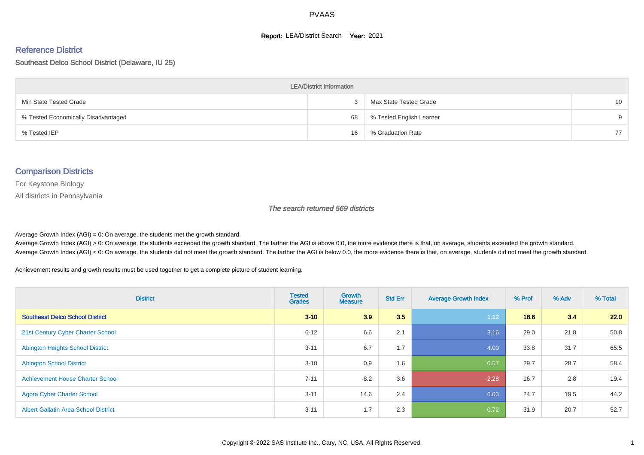#### **Report: LEA/District Search Year: 2021**

#### Reference District

Southeast Delco School District (Delaware, IU 25)

| <b>LEA/District Information</b>     |    |                          |                 |  |  |  |  |  |  |  |
|-------------------------------------|----|--------------------------|-----------------|--|--|--|--|--|--|--|
| Min State Tested Grade              |    | Max State Tested Grade   | 10 <sup>°</sup> |  |  |  |  |  |  |  |
| % Tested Economically Disadvantaged | 68 | % Tested English Learner | 9               |  |  |  |  |  |  |  |
| % Tested IEP                        | 16 | % Graduation Rate        | 77              |  |  |  |  |  |  |  |

#### Comparison Districts

For Keystone Biology

All districts in Pennsylvania

The search returned 569 districts

Average Growth Index  $(AGI) = 0$ : On average, the students met the growth standard.

Average Growth Index (AGI) > 0: On average, the students exceeded the growth standard. The farther the AGI is above 0.0, the more evidence there is that, on average, students exceeded the growth standard. Average Growth Index (AGI) < 0: On average, the students did not meet the growth standard. The farther the AGI is below 0.0, the more evidence there is that, on average, students did not meet the growth standard.

Achievement results and growth results must be used together to get a complete picture of student learning.

| <b>District</b>                             | <b>Tested</b><br><b>Grades</b> | <b>Growth</b><br><b>Measure</b> | <b>Std Err</b> | <b>Average Growth Index</b> | % Prof | % Adv | % Total |
|---------------------------------------------|--------------------------------|---------------------------------|----------------|-----------------------------|--------|-------|---------|
| <b>Southeast Delco School District</b>      | $3 - 10$                       | 3.9                             | 3.5            | 1.12                        | 18.6   | 3.4   | 22.0    |
| 21st Century Cyber Charter School           | $6 - 12$                       | 6.6                             | 2.1            | 3.16                        | 29.0   | 21.8  | 50.8    |
| <b>Abington Heights School District</b>     | $3 - 11$                       | 6.7                             | 1.7            | 4.00                        | 33.8   | 31.7  | 65.5    |
| <b>Abington School District</b>             | $3 - 10$                       | 0.9                             | 1.6            | 0.57                        | 29.7   | 28.7  | 58.4    |
| <b>Achievement House Charter School</b>     | $7 - 11$                       | $-8.2$                          | 3.6            | $-2.28$                     | 16.7   | 2.8   | 19.4    |
| <b>Agora Cyber Charter School</b>           | $3 - 11$                       | 14.6                            | 2.4            | 6.03                        | 24.7   | 19.5  | 44.2    |
| <b>Albert Gallatin Area School District</b> | $3 - 11$                       | $-1.7$                          | 2.3            | $-0.72$                     | 31.9   | 20.7  | 52.7    |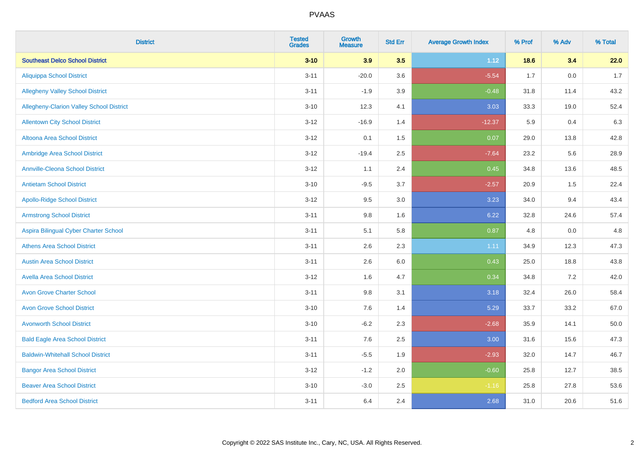| <b>District</b>                          | <b>Tested</b><br><b>Grades</b> | <b>Growth</b><br><b>Measure</b> | <b>Std Err</b> | <b>Average Growth Index</b> | % Prof | % Adv   | % Total |
|------------------------------------------|--------------------------------|---------------------------------|----------------|-----------------------------|--------|---------|---------|
| <b>Southeast Delco School District</b>   | $3 - 10$                       | 3.9                             | 3.5            | 1.12                        | 18.6   | 3.4     | 22.0    |
| <b>Aliquippa School District</b>         | $3 - 11$                       | $-20.0$                         | 3.6            | $-5.54$                     | 1.7    | $0.0\,$ | 1.7     |
| <b>Allegheny Valley School District</b>  | $3 - 11$                       | $-1.9$                          | 3.9            | $-0.48$                     | 31.8   | 11.4    | 43.2    |
| Allegheny-Clarion Valley School District | $3 - 10$                       | 12.3                            | 4.1            | 3.03                        | 33.3   | 19.0    | 52.4    |
| <b>Allentown City School District</b>    | $3 - 12$                       | $-16.9$                         | 1.4            | $-12.37$                    | 5.9    | 0.4     | 6.3     |
| <b>Altoona Area School District</b>      | $3 - 12$                       | 0.1                             | 1.5            | 0.07                        | 29.0   | 13.8    | 42.8    |
| Ambridge Area School District            | $3 - 12$                       | $-19.4$                         | 2.5            | $-7.64$                     | 23.2   | 5.6     | 28.9    |
| <b>Annville-Cleona School District</b>   | $3 - 12$                       | 1.1                             | 2.4            | 0.45                        | 34.8   | 13.6    | 48.5    |
| <b>Antietam School District</b>          | $3 - 10$                       | $-9.5$                          | 3.7            | $-2.57$                     | 20.9   | 1.5     | 22.4    |
| <b>Apollo-Ridge School District</b>      | $3 - 12$                       | 9.5                             | 3.0            | 3.23                        | 34.0   | 9.4     | 43.4    |
| <b>Armstrong School District</b>         | $3 - 11$                       | 9.8                             | 1.6            | 6.22                        | 32.8   | 24.6    | 57.4    |
| Aspira Bilingual Cyber Charter School    | $3 - 11$                       | 5.1                             | 5.8            | 0.87                        | 4.8    | 0.0     | 4.8     |
| <b>Athens Area School District</b>       | $3 - 11$                       | 2.6                             | 2.3            | 1.11                        | 34.9   | 12.3    | 47.3    |
| <b>Austin Area School District</b>       | $3 - 11$                       | 2.6                             | 6.0            | 0.43                        | 25.0   | 18.8    | 43.8    |
| <b>Avella Area School District</b>       | $3 - 12$                       | 1.6                             | 4.7            | 0.34                        | 34.8   | 7.2     | 42.0    |
| <b>Avon Grove Charter School</b>         | $3 - 11$                       | 9.8                             | 3.1            | 3.18                        | 32.4   | 26.0    | 58.4    |
| <b>Avon Grove School District</b>        | $3 - 10$                       | 7.6                             | 1.4            | 5.29                        | 33.7   | 33.2    | 67.0    |
| <b>Avonworth School District</b>         | $3 - 10$                       | $-6.2$                          | 2.3            | $-2.68$                     | 35.9   | 14.1    | 50.0    |
| <b>Bald Eagle Area School District</b>   | $3 - 11$                       | 7.6                             | 2.5            | 3.00                        | 31.6   | 15.6    | 47.3    |
| <b>Baldwin-Whitehall School District</b> | $3 - 11$                       | $-5.5$                          | 1.9            | $-2.93$                     | 32.0   | 14.7    | 46.7    |
| <b>Bangor Area School District</b>       | $3 - 12$                       | $-1.2$                          | 2.0            | $-0.60$                     | 25.8   | 12.7    | 38.5    |
| <b>Beaver Area School District</b>       | $3 - 10$                       | $-3.0$                          | 2.5            | $-1.16$                     | 25.8   | 27.8    | 53.6    |
| <b>Bedford Area School District</b>      | $3 - 11$                       | 6.4                             | 2.4            | 2.68                        | 31.0   | 20.6    | 51.6    |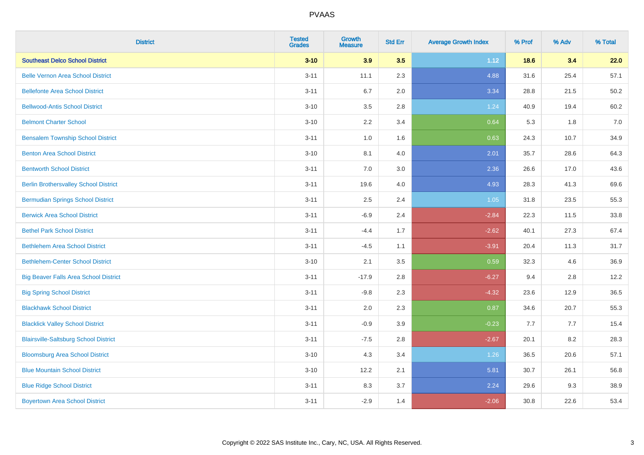| <b>District</b>                              | <b>Tested</b><br><b>Grades</b> | <b>Growth</b><br><b>Measure</b> | <b>Std Err</b> | <b>Average Growth Index</b> | % Prof | % Adv | % Total |
|----------------------------------------------|--------------------------------|---------------------------------|----------------|-----------------------------|--------|-------|---------|
| <b>Southeast Delco School District</b>       | $3 - 10$                       | 3.9                             | 3.5            | 1.12                        | 18.6   | 3.4   | 22.0    |
| <b>Belle Vernon Area School District</b>     | $3 - 11$                       | 11.1                            | 2.3            | 4.88                        | 31.6   | 25.4  | 57.1    |
| <b>Bellefonte Area School District</b>       | $3 - 11$                       | 6.7                             | 2.0            | 3.34                        | 28.8   | 21.5  | 50.2    |
| <b>Bellwood-Antis School District</b>        | $3 - 10$                       | 3.5                             | 2.8            | 1.24                        | 40.9   | 19.4  | 60.2    |
| <b>Belmont Charter School</b>                | $3 - 10$                       | 2.2                             | 3.4            | 0.64                        | 5.3    | 1.8   | 7.0     |
| <b>Bensalem Township School District</b>     | $3 - 11$                       | 1.0                             | 1.6            | 0.63                        | 24.3   | 10.7  | 34.9    |
| <b>Benton Area School District</b>           | $3 - 10$                       | 8.1                             | 4.0            | 2.01                        | 35.7   | 28.6  | 64.3    |
| <b>Bentworth School District</b>             | $3 - 11$                       | 7.0                             | 3.0            | 2.36                        | 26.6   | 17.0  | 43.6    |
| <b>Berlin Brothersvalley School District</b> | $3 - 11$                       | 19.6                            | 4.0            | 4.93                        | 28.3   | 41.3  | 69.6    |
| <b>Bermudian Springs School District</b>     | $3 - 11$                       | 2.5                             | 2.4            | 1.05                        | 31.8   | 23.5  | 55.3    |
| <b>Berwick Area School District</b>          | $3 - 11$                       | $-6.9$                          | 2.4            | $-2.84$                     | 22.3   | 11.5  | 33.8    |
| <b>Bethel Park School District</b>           | $3 - 11$                       | $-4.4$                          | 1.7            | $-2.62$                     | 40.1   | 27.3  | 67.4    |
| <b>Bethlehem Area School District</b>        | $3 - 11$                       | $-4.5$                          | 1.1            | $-3.91$                     | 20.4   | 11.3  | 31.7    |
| <b>Bethlehem-Center School District</b>      | $3 - 10$                       | 2.1                             | 3.5            | 0.59                        | 32.3   | 4.6   | 36.9    |
| <b>Big Beaver Falls Area School District</b> | $3 - 11$                       | $-17.9$                         | 2.8            | $-6.27$                     | 9.4    | 2.8   | 12.2    |
| <b>Big Spring School District</b>            | $3 - 11$                       | $-9.8$                          | 2.3            | $-4.32$                     | 23.6   | 12.9  | 36.5    |
| <b>Blackhawk School District</b>             | $3 - 11$                       | 2.0                             | 2.3            | 0.87                        | 34.6   | 20.7  | 55.3    |
| <b>Blacklick Valley School District</b>      | $3 - 11$                       | $-0.9$                          | 3.9            | $-0.23$                     | 7.7    | 7.7   | 15.4    |
| <b>Blairsville-Saltsburg School District</b> | $3 - 11$                       | $-7.5$                          | 2.8            | $-2.67$                     | 20.1   | 8.2   | 28.3    |
| <b>Bloomsburg Area School District</b>       | $3 - 10$                       | 4.3                             | 3.4            | 1.26                        | 36.5   | 20.6  | 57.1    |
| <b>Blue Mountain School District</b>         | $3 - 10$                       | 12.2                            | 2.1            | 5.81                        | 30.7   | 26.1  | 56.8    |
| <b>Blue Ridge School District</b>            | $3 - 11$                       | 8.3                             | 3.7            | 2.24                        | 29.6   | 9.3   | 38.9    |
| <b>Boyertown Area School District</b>        | $3 - 11$                       | $-2.9$                          | 1.4            | $-2.06$                     | 30.8   | 22.6  | 53.4    |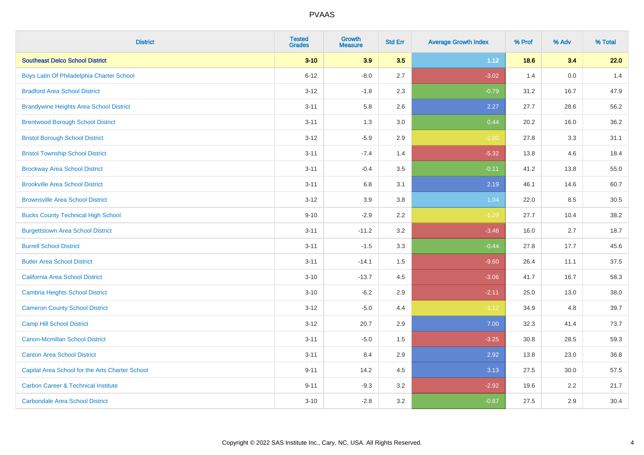| <b>District</b>                                 | <b>Tested</b><br><b>Grades</b> | <b>Growth</b><br><b>Measure</b> | <b>Std Err</b> | <b>Average Growth Index</b> | % Prof | % Adv | % Total |
|-------------------------------------------------|--------------------------------|---------------------------------|----------------|-----------------------------|--------|-------|---------|
| <b>Southeast Delco School District</b>          | $3 - 10$                       | 3.9                             | 3.5            | 1.12                        | 18.6   | 3.4   | 22.0    |
| Boys Latin Of Philadelphia Charter School       | $6 - 12$                       | $-8.0$                          | 2.7            | $-3.02$                     | 1.4    | 0.0   | 1.4     |
| <b>Bradford Area School District</b>            | $3 - 12$                       | $-1.8$                          | 2.3            | $-0.79$                     | 31.2   | 16.7  | 47.9    |
| <b>Brandywine Heights Area School District</b>  | $3 - 11$                       | 5.8                             | 2.6            | 2.27                        | 27.7   | 28.6  | 56.2    |
| <b>Brentwood Borough School District</b>        | $3 - 11$                       | 1.3                             | 3.0            | 0.44                        | 20.2   | 16.0  | 36.2    |
| <b>Bristol Borough School District</b>          | $3 - 12$                       | $-5.9$                          | 2.9            | $-2.00$                     | 27.8   | 3.3   | 31.1    |
| <b>Bristol Township School District</b>         | $3 - 11$                       | $-7.4$                          | 1.4            | $-5.32$                     | 13.8   | 4.6   | 18.4    |
| <b>Brockway Area School District</b>            | $3 - 11$                       | $-0.4$                          | 3.5            | $-0.11$                     | 41.2   | 13.8  | 55.0    |
| <b>Brookville Area School District</b>          | $3 - 11$                       | 6.8                             | 3.1            | 2.19                        | 46.1   | 14.6  | 60.7    |
| <b>Brownsville Area School District</b>         | $3 - 12$                       | 3.9                             | 3.8            | 1.04                        | 22.0   | 8.5   | 30.5    |
| <b>Bucks County Technical High School</b>       | $9 - 10$                       | $-2.9$                          | 2.2            | $-1.29$                     | 27.7   | 10.4  | 38.2    |
| <b>Burgettstown Area School District</b>        | $3 - 11$                       | $-11.2$                         | 3.2            | $-3.46$                     | 16.0   | 2.7   | 18.7    |
| <b>Burrell School District</b>                  | $3 - 11$                       | $-1.5$                          | 3.3            | $-0.44$                     | 27.8   | 17.7  | 45.6    |
| <b>Butler Area School District</b>              | $3 - 11$                       | $-14.1$                         | $1.5$          | $-9.60$                     | 26.4   | 11.1  | 37.5    |
| <b>California Area School District</b>          | $3 - 10$                       | $-13.7$                         | 4.5            | $-3.06$                     | 41.7   | 16.7  | 58.3    |
| <b>Cambria Heights School District</b>          | $3 - 10$                       | $-6.2$                          | 2.9            | $-2.11$                     | 25.0   | 13.0  | 38.0    |
| <b>Cameron County School District</b>           | $3 - 12$                       | $-5.0$                          | 4.4            | $-1.12$                     | 34.9   | 4.8   | 39.7    |
| <b>Camp Hill School District</b>                | $3 - 12$                       | 20.7                            | 2.9            | 7.00                        | 32.3   | 41.4  | 73.7    |
| <b>Canon-Mcmillan School District</b>           | $3 - 11$                       | $-5.0$                          | $1.5$          | $-3.25$                     | 30.8   | 28.5  | 59.3    |
| <b>Canton Area School District</b>              | $3 - 11$                       | 8.4                             | 2.9            | 2.92                        | 13.8   | 23.0  | 36.8    |
| Capital Area School for the Arts Charter School | $9 - 11$                       | 14.2                            | 4.5            | 3.13                        | 27.5   | 30.0  | 57.5    |
| <b>Carbon Career &amp; Technical Institute</b>  | $9 - 11$                       | $-9.3$                          | 3.2            | $-2.92$                     | 19.6   | 2.2   | 21.7    |
| <b>Carbondale Area School District</b>          | $3 - 10$                       | $-2.8$                          | 3.2            | $-0.87$                     | 27.5   | 2.9   | 30.4    |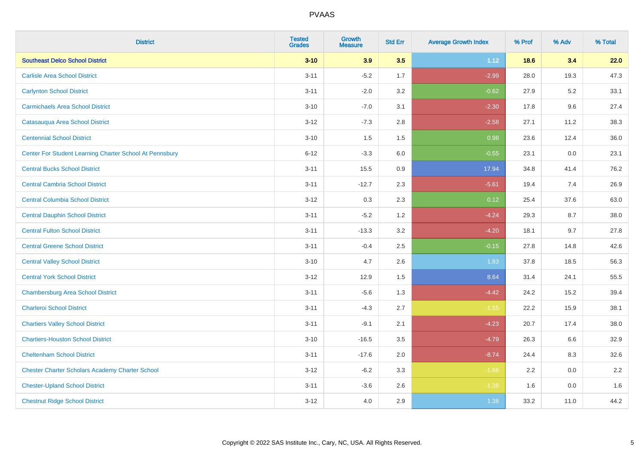| <b>District</b>                                         | <b>Tested</b><br><b>Grades</b> | <b>Growth</b><br><b>Measure</b> | <b>Std Err</b> | <b>Average Growth Index</b> | % Prof | % Adv   | % Total |
|---------------------------------------------------------|--------------------------------|---------------------------------|----------------|-----------------------------|--------|---------|---------|
| <b>Southeast Delco School District</b>                  | $3 - 10$                       | 3.9                             | 3.5            | 1.12                        | 18.6   | 3.4     | 22.0    |
| <b>Carlisle Area School District</b>                    | $3 - 11$                       | $-5.2$                          | 1.7            | $-2.99$                     | 28.0   | 19.3    | 47.3    |
| <b>Carlynton School District</b>                        | $3 - 11$                       | $-2.0$                          | 3.2            | $-0.62$                     | 27.9   | 5.2     | 33.1    |
| <b>Carmichaels Area School District</b>                 | $3 - 10$                       | $-7.0$                          | 3.1            | $-2.30$                     | 17.8   | 9.6     | 27.4    |
| Catasauqua Area School District                         | $3-12$                         | $-7.3$                          | 2.8            | $-2.58$                     | 27.1   | 11.2    | 38.3    |
| <b>Centennial School District</b>                       | $3 - 10$                       | 1.5                             | 1.5            | 0.98                        | 23.6   | 12.4    | 36.0    |
| Center For Student Learning Charter School At Pennsbury | $6 - 12$                       | $-3.3$                          | 6.0            | $-0.55$                     | 23.1   | 0.0     | 23.1    |
| <b>Central Bucks School District</b>                    | $3 - 11$                       | 15.5                            | 0.9            | 17.94                       | 34.8   | 41.4    | 76.2    |
| <b>Central Cambria School District</b>                  | $3 - 11$                       | $-12.7$                         | 2.3            | $-5.61$                     | 19.4   | 7.4     | 26.9    |
| <b>Central Columbia School District</b>                 | $3 - 12$                       | 0.3                             | 2.3            | 0.12                        | 25.4   | 37.6    | 63.0    |
| <b>Central Dauphin School District</b>                  | $3 - 11$                       | $-5.2$                          | 1.2            | $-4.24$                     | 29.3   | 8.7     | 38.0    |
| <b>Central Fulton School District</b>                   | $3 - 11$                       | $-13.3$                         | 3.2            | $-4.20$                     | 18.1   | 9.7     | 27.8    |
| <b>Central Greene School District</b>                   | $3 - 11$                       | $-0.4$                          | 2.5            | $-0.15$                     | 27.8   | 14.8    | 42.6    |
| <b>Central Valley School District</b>                   | $3 - 10$                       | 4.7                             | 2.6            | 1.83                        | 37.8   | 18.5    | 56.3    |
| <b>Central York School District</b>                     | $3 - 12$                       | 12.9                            | 1.5            | 8.64                        | 31.4   | 24.1    | 55.5    |
| <b>Chambersburg Area School District</b>                | $3 - 11$                       | $-5.6$                          | 1.3            | $-4.42$                     | 24.2   | 15.2    | 39.4    |
| <b>Charleroi School District</b>                        | $3 - 11$                       | $-4.3$                          | 2.7            | $-1.55$                     | 22.2   | 15.9    | 38.1    |
| <b>Chartiers Valley School District</b>                 | $3 - 11$                       | $-9.1$                          | 2.1            | $-4.23$                     | 20.7   | 17.4    | 38.0    |
| <b>Chartiers-Houston School District</b>                | $3 - 10$                       | $-16.5$                         | 3.5            | $-4.79$                     | 26.3   | 6.6     | 32.9    |
| <b>Cheltenham School District</b>                       | $3 - 11$                       | $-17.6$                         | 2.0            | $-8.74$                     | 24.4   | 8.3     | 32.6    |
| <b>Chester Charter Scholars Academy Charter School</b>  | $3 - 12$                       | $-6.2$                          | 3.3            | $-1.88$                     | 2.2    | 0.0     | $2.2\,$ |
| <b>Chester-Upland School District</b>                   | $3 - 11$                       | $-3.6$                          | 2.6            | $-1.38$                     | 1.6    | $0.0\,$ | 1.6     |
| <b>Chestnut Ridge School District</b>                   | $3 - 12$                       | 4.0                             | 2.9            | 1.38                        | 33.2   | 11.0    | 44.2    |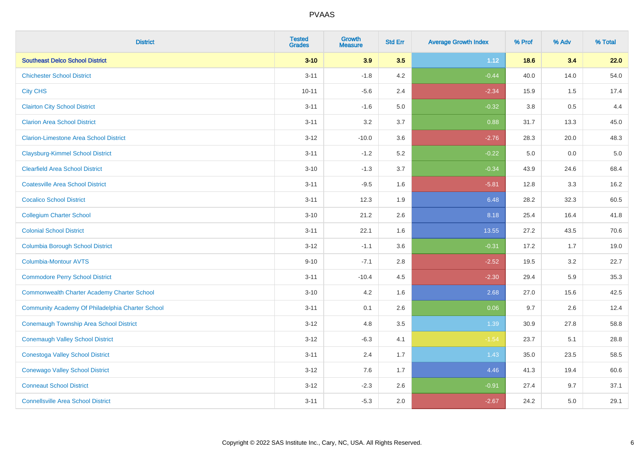| <b>District</b>                                    | <b>Tested</b><br><b>Grades</b> | <b>Growth</b><br><b>Measure</b> | <b>Std Err</b> | <b>Average Growth Index</b> | % Prof  | % Adv   | % Total |
|----------------------------------------------------|--------------------------------|---------------------------------|----------------|-----------------------------|---------|---------|---------|
| <b>Southeast Delco School District</b>             | $3 - 10$                       | 3.9                             | 3.5            | 1.12                        | 18.6    | 3.4     | 22.0    |
| <b>Chichester School District</b>                  | $3 - 11$                       | $-1.8$                          | 4.2            | $-0.44$                     | 40.0    | 14.0    | 54.0    |
| <b>City CHS</b>                                    | $10 - 11$                      | $-5.6$                          | 2.4            | $-2.34$                     | 15.9    | 1.5     | 17.4    |
| <b>Clairton City School District</b>               | $3 - 11$                       | $-1.6$                          | $5.0\,$        | $-0.32$                     | $3.8\,$ | 0.5     | 4.4     |
| <b>Clarion Area School District</b>                | $3 - 11$                       | 3.2                             | 3.7            | 0.88                        | 31.7    | 13.3    | 45.0    |
| <b>Clarion-Limestone Area School District</b>      | $3 - 12$                       | $-10.0$                         | 3.6            | $-2.76$                     | 28.3    | 20.0    | 48.3    |
| <b>Claysburg-Kimmel School District</b>            | $3 - 11$                       | $-1.2$                          | 5.2            | $-0.22$                     | 5.0     | $0.0\,$ | $5.0$   |
| <b>Clearfield Area School District</b>             | $3 - 10$                       | $-1.3$                          | 3.7            | $-0.34$                     | 43.9    | 24.6    | 68.4    |
| <b>Coatesville Area School District</b>            | $3 - 11$                       | $-9.5$                          | 1.6            | $-5.81$                     | 12.8    | 3.3     | 16.2    |
| <b>Cocalico School District</b>                    | $3 - 11$                       | 12.3                            | 1.9            | 6.48                        | 28.2    | 32.3    | 60.5    |
| <b>Collegium Charter School</b>                    | $3 - 10$                       | 21.2                            | 2.6            | 8.18                        | 25.4    | 16.4    | 41.8    |
| <b>Colonial School District</b>                    | $3 - 11$                       | 22.1                            | 1.6            | 13.55                       | 27.2    | 43.5    | 70.6    |
| <b>Columbia Borough School District</b>            | $3 - 12$                       | $-1.1$                          | 3.6            | $-0.31$                     | 17.2    | 1.7     | 19.0    |
| <b>Columbia-Montour AVTS</b>                       | $9 - 10$                       | $-7.1$                          | 2.8            | $-2.52$                     | 19.5    | 3.2     | 22.7    |
| <b>Commodore Perry School District</b>             | $3 - 11$                       | $-10.4$                         | 4.5            | $-2.30$                     | 29.4    | 5.9     | 35.3    |
| <b>Commonwealth Charter Academy Charter School</b> | $3 - 10$                       | 4.2                             | 1.6            | 2.68                        | 27.0    | 15.6    | 42.5    |
| Community Academy Of Philadelphia Charter School   | $3 - 11$                       | 0.1                             | 2.6            | 0.06                        | 9.7     | 2.6     | 12.4    |
| <b>Conemaugh Township Area School District</b>     | $3 - 12$                       | 4.8                             | 3.5            | 1.39                        | 30.9    | 27.8    | 58.8    |
| <b>Conemaugh Valley School District</b>            | $3 - 12$                       | $-6.3$                          | 4.1            | $-1.54$                     | 23.7    | 5.1     | 28.8    |
| <b>Conestoga Valley School District</b>            | $3 - 11$                       | 2.4                             | 1.7            | 1.43                        | 35.0    | 23.5    | 58.5    |
| <b>Conewago Valley School District</b>             | $3 - 12$                       | 7.6                             | 1.7            | 4.46                        | 41.3    | 19.4    | 60.6    |
| <b>Conneaut School District</b>                    | $3 - 12$                       | $-2.3$                          | 2.6            | $-0.91$                     | 27.4    | 9.7     | 37.1    |
| <b>Connellsville Area School District</b>          | $3 - 11$                       | $-5.3$                          | 2.0            | $-2.67$                     | 24.2    | 5.0     | 29.1    |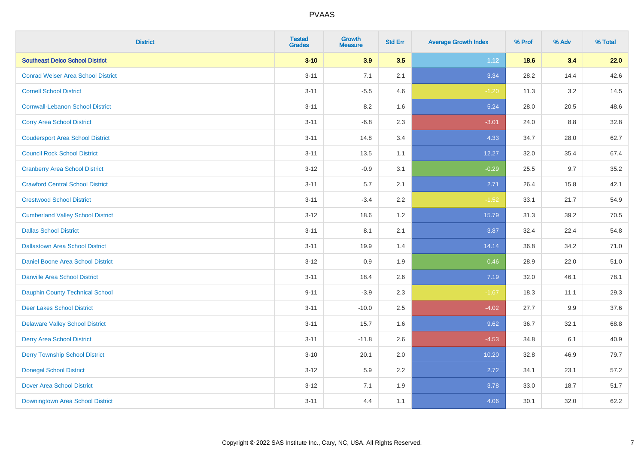| <b>District</b>                           | <b>Tested</b><br><b>Grades</b> | <b>Growth</b><br><b>Measure</b> | <b>Std Err</b> | <b>Average Growth Index</b> | % Prof | % Adv | % Total |
|-------------------------------------------|--------------------------------|---------------------------------|----------------|-----------------------------|--------|-------|---------|
| <b>Southeast Delco School District</b>    | $3 - 10$                       | 3.9                             | 3.5            | 1.12                        | 18.6   | 3.4   | 22.0    |
| <b>Conrad Weiser Area School District</b> | $3 - 11$                       | 7.1                             | 2.1            | 3.34                        | 28.2   | 14.4  | 42.6    |
| <b>Cornell School District</b>            | $3 - 11$                       | $-5.5$                          | 4.6            | $-1.20$                     | 11.3   | 3.2   | 14.5    |
| <b>Cornwall-Lebanon School District</b>   | $3 - 11$                       | 8.2                             | 1.6            | 5.24                        | 28.0   | 20.5  | 48.6    |
| <b>Corry Area School District</b>         | $3 - 11$                       | $-6.8$                          | 2.3            | $-3.01$                     | 24.0   | 8.8   | 32.8    |
| <b>Coudersport Area School District</b>   | $3 - 11$                       | 14.8                            | 3.4            | 4.33                        | 34.7   | 28.0  | 62.7    |
| <b>Council Rock School District</b>       | $3 - 11$                       | 13.5                            | 1.1            | 12.27                       | 32.0   | 35.4  | 67.4    |
| <b>Cranberry Area School District</b>     | $3 - 12$                       | $-0.9$                          | 3.1            | $-0.29$                     | 25.5   | 9.7   | 35.2    |
| <b>Crawford Central School District</b>   | $3 - 11$                       | 5.7                             | 2.1            | 2.71                        | 26.4   | 15.8  | 42.1    |
| <b>Crestwood School District</b>          | $3 - 11$                       | $-3.4$                          | 2.2            | $-1.52$                     | 33.1   | 21.7  | 54.9    |
| <b>Cumberland Valley School District</b>  | $3 - 12$                       | 18.6                            | 1.2            | 15.79                       | 31.3   | 39.2  | 70.5    |
| <b>Dallas School District</b>             | $3 - 11$                       | 8.1                             | 2.1            | 3.87                        | 32.4   | 22.4  | 54.8    |
| <b>Dallastown Area School District</b>    | $3 - 11$                       | 19.9                            | 1.4            | 14.14                       | 36.8   | 34.2  | 71.0    |
| <b>Daniel Boone Area School District</b>  | $3 - 12$                       | 0.9                             | 1.9            | 0.46                        | 28.9   | 22.0  | 51.0    |
| <b>Danville Area School District</b>      | $3 - 11$                       | 18.4                            | 2.6            | 7.19                        | 32.0   | 46.1  | 78.1    |
| <b>Dauphin County Technical School</b>    | $9 - 11$                       | $-3.9$                          | 2.3            | $-1.67$                     | 18.3   | 11.1  | 29.3    |
| <b>Deer Lakes School District</b>         | $3 - 11$                       | $-10.0$                         | 2.5            | $-4.02$                     | 27.7   | 9.9   | 37.6    |
| <b>Delaware Valley School District</b>    | $3 - 11$                       | 15.7                            | 1.6            | 9.62                        | 36.7   | 32.1  | 68.8    |
| <b>Derry Area School District</b>         | $3 - 11$                       | $-11.8$                         | 2.6            | $-4.53$                     | 34.8   | 6.1   | 40.9    |
| <b>Derry Township School District</b>     | $3 - 10$                       | 20.1                            | 2.0            | 10.20                       | 32.8   | 46.9  | 79.7    |
| <b>Donegal School District</b>            | $3 - 12$                       | 5.9                             | 2.2            | 2.72                        | 34.1   | 23.1  | 57.2    |
| <b>Dover Area School District</b>         | $3 - 12$                       | 7.1                             | 1.9            | 3.78                        | 33.0   | 18.7  | 51.7    |
| Downingtown Area School District          | $3 - 11$                       | 4.4                             | 1.1            | 4.06                        | 30.1   | 32.0  | 62.2    |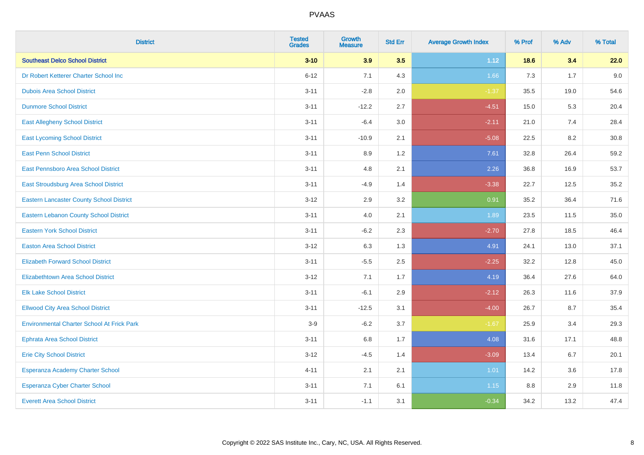| <b>District</b>                                   | <b>Tested</b><br><b>Grades</b> | <b>Growth</b><br><b>Measure</b> | <b>Std Err</b> | <b>Average Growth Index</b> | % Prof | % Adv | % Total |
|---------------------------------------------------|--------------------------------|---------------------------------|----------------|-----------------------------|--------|-------|---------|
| <b>Southeast Delco School District</b>            | $3 - 10$                       | 3.9                             | 3.5            | 1.12                        | 18.6   | 3.4   | 22.0    |
| Dr Robert Ketterer Charter School Inc             | $6 - 12$                       | 7.1                             | 4.3            | 1.66                        | 7.3    | 1.7   | 9.0     |
| <b>Dubois Area School District</b>                | $3 - 11$                       | $-2.8$                          | 2.0            | $-1.37$                     | 35.5   | 19.0  | 54.6    |
| <b>Dunmore School District</b>                    | $3 - 11$                       | $-12.2$                         | 2.7            | $-4.51$                     | 15.0   | 5.3   | 20.4    |
| <b>East Allegheny School District</b>             | $3 - 11$                       | $-6.4$                          | 3.0            | $-2.11$                     | 21.0   | 7.4   | 28.4    |
| <b>East Lycoming School District</b>              | $3 - 11$                       | $-10.9$                         | 2.1            | $-5.08$                     | 22.5   | 8.2   | 30.8    |
| <b>East Penn School District</b>                  | $3 - 11$                       | 8.9                             | 1.2            | 7.61                        | 32.8   | 26.4  | 59.2    |
| East Pennsboro Area School District               | $3 - 11$                       | 4.8                             | 2.1            | 2.26                        | 36.8   | 16.9  | 53.7    |
| East Stroudsburg Area School District             | $3 - 11$                       | $-4.9$                          | 1.4            | $-3.38$                     | 22.7   | 12.5  | 35.2    |
| <b>Eastern Lancaster County School District</b>   | $3 - 12$                       | 2.9                             | 3.2            | 0.91                        | 35.2   | 36.4  | 71.6    |
| <b>Eastern Lebanon County School District</b>     | $3 - 11$                       | 4.0                             | 2.1            | 1.89                        | 23.5   | 11.5  | 35.0    |
| <b>Eastern York School District</b>               | $3 - 11$                       | $-6.2$                          | 2.3            | $-2.70$                     | 27.8   | 18.5  | 46.4    |
| <b>Easton Area School District</b>                | $3 - 12$                       | 6.3                             | 1.3            | 4.91                        | 24.1   | 13.0  | 37.1    |
| <b>Elizabeth Forward School District</b>          | $3 - 11$                       | $-5.5$                          | 2.5            | $-2.25$                     | 32.2   | 12.8  | 45.0    |
| <b>Elizabethtown Area School District</b>         | $3 - 12$                       | 7.1                             | 1.7            | 4.19                        | 36.4   | 27.6  | 64.0    |
| <b>Elk Lake School District</b>                   | $3 - 11$                       | $-6.1$                          | 2.9            | $-2.12$                     | 26.3   | 11.6  | 37.9    |
| <b>Ellwood City Area School District</b>          | $3 - 11$                       | $-12.5$                         | 3.1            | $-4.00$                     | 26.7   | 8.7   | 35.4    |
| <b>Environmental Charter School At Frick Park</b> | $3-9$                          | $-6.2$                          | 3.7            | $-1.67$                     | 25.9   | 3.4   | 29.3    |
| <b>Ephrata Area School District</b>               | $3 - 11$                       | $6.8\,$                         | 1.7            | 4.08                        | 31.6   | 17.1  | 48.8    |
| <b>Erie City School District</b>                  | $3 - 12$                       | $-4.5$                          | 1.4            | $-3.09$                     | 13.4   | 6.7   | 20.1    |
| Esperanza Academy Charter School                  | $4 - 11$                       | 2.1                             | 2.1            | 1.01                        | 14.2   | 3.6   | 17.8    |
| Esperanza Cyber Charter School                    | $3 - 11$                       | 7.1                             | 6.1            | 1.15                        | 8.8    | 2.9   | 11.8    |
| <b>Everett Area School District</b>               | $3 - 11$                       | $-1.1$                          | 3.1            | $-0.34$                     | 34.2   | 13.2  | 47.4    |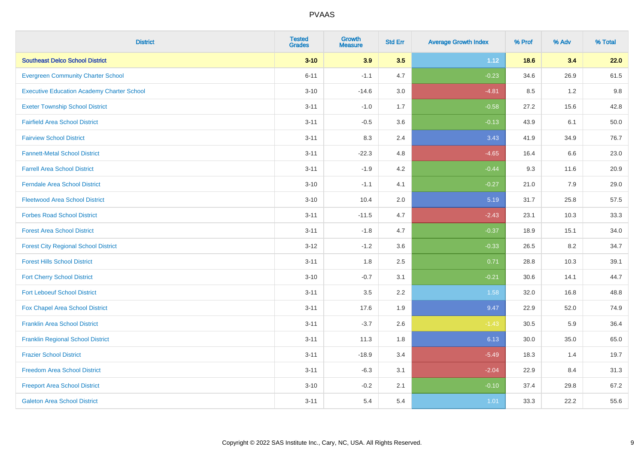| <b>District</b>                                   | <b>Tested</b><br><b>Grades</b> | <b>Growth</b><br><b>Measure</b> | <b>Std Err</b> | <b>Average Growth Index</b> | % Prof | % Adv   | % Total |
|---------------------------------------------------|--------------------------------|---------------------------------|----------------|-----------------------------|--------|---------|---------|
| <b>Southeast Delco School District</b>            | $3 - 10$                       | 3.9                             | 3.5            | 1.12                        | 18.6   | 3.4     | 22.0    |
| <b>Evergreen Community Charter School</b>         | $6 - 11$                       | $-1.1$                          | 4.7            | $-0.23$                     | 34.6   | 26.9    | 61.5    |
| <b>Executive Education Academy Charter School</b> | $3 - 10$                       | $-14.6$                         | 3.0            | $-4.81$                     | 8.5    | 1.2     | 9.8     |
| <b>Exeter Township School District</b>            | $3 - 11$                       | $-1.0$                          | 1.7            | $-0.58$                     | 27.2   | 15.6    | 42.8    |
| <b>Fairfield Area School District</b>             | $3 - 11$                       | $-0.5$                          | 3.6            | $-0.13$                     | 43.9   | 6.1     | 50.0    |
| <b>Fairview School District</b>                   | $3 - 11$                       | 8.3                             | 2.4            | 3.43                        | 41.9   | 34.9    | 76.7    |
| <b>Fannett-Metal School District</b>              | $3 - 11$                       | $-22.3$                         | 4.8            | $-4.65$                     | 16.4   | 6.6     | 23.0    |
| <b>Farrell Area School District</b>               | $3 - 11$                       | $-1.9$                          | 4.2            | $-0.44$                     | 9.3    | 11.6    | 20.9    |
| <b>Ferndale Area School District</b>              | $3 - 10$                       | $-1.1$                          | 4.1            | $-0.27$                     | 21.0   | 7.9     | 29.0    |
| <b>Fleetwood Area School District</b>             | $3 - 10$                       | 10.4                            | 2.0            | 5.19                        | 31.7   | 25.8    | 57.5    |
| <b>Forbes Road School District</b>                | $3 - 11$                       | $-11.5$                         | 4.7            | $-2.43$                     | 23.1   | 10.3    | 33.3    |
| <b>Forest Area School District</b>                | $3 - 11$                       | $-1.8$                          | 4.7            | $-0.37$                     | 18.9   | 15.1    | 34.0    |
| <b>Forest City Regional School District</b>       | $3 - 12$                       | $-1.2$                          | 3.6            | $-0.33$                     | 26.5   | $8.2\,$ | 34.7    |
| <b>Forest Hills School District</b>               | $3 - 11$                       | 1.8                             | 2.5            | 0.71                        | 28.8   | 10.3    | 39.1    |
| <b>Fort Cherry School District</b>                | $3 - 10$                       | $-0.7$                          | 3.1            | $-0.21$                     | 30.6   | 14.1    | 44.7    |
| <b>Fort Leboeuf School District</b>               | $3 - 11$                       | $3.5\,$                         | 2.2            | 1.58                        | 32.0   | 16.8    | 48.8    |
| Fox Chapel Area School District                   | $3 - 11$                       | 17.6                            | 1.9            | 9.47                        | 22.9   | 52.0    | 74.9    |
| <b>Franklin Area School District</b>              | $3 - 11$                       | $-3.7$                          | 2.6            | $-1.43$                     | 30.5   | 5.9     | 36.4    |
| <b>Franklin Regional School District</b>          | $3 - 11$                       | 11.3                            | 1.8            | 6.13                        | 30.0   | 35.0    | 65.0    |
| <b>Frazier School District</b>                    | $3 - 11$                       | $-18.9$                         | 3.4            | $-5.49$                     | 18.3   | 1.4     | 19.7    |
| <b>Freedom Area School District</b>               | $3 - 11$                       | $-6.3$                          | 3.1            | $-2.04$                     | 22.9   | 8.4     | 31.3    |
| <b>Freeport Area School District</b>              | $3 - 10$                       | $-0.2$                          | 2.1            | $-0.10$                     | 37.4   | 29.8    | 67.2    |
| <b>Galeton Area School District</b>               | $3 - 11$                       | 5.4                             | 5.4            | 1.01                        | 33.3   | 22.2    | 55.6    |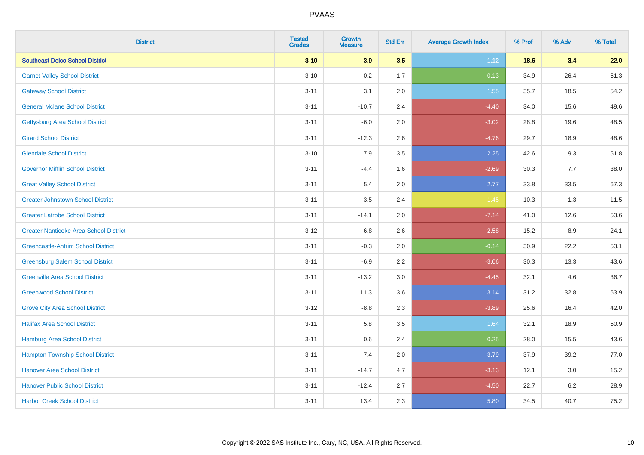| <b>District</b>                               | <b>Tested</b><br><b>Grades</b> | <b>Growth</b><br><b>Measure</b> | <b>Std Err</b> | <b>Average Growth Index</b> | % Prof | % Adv   | % Total |
|-----------------------------------------------|--------------------------------|---------------------------------|----------------|-----------------------------|--------|---------|---------|
| <b>Southeast Delco School District</b>        | $3 - 10$                       | 3.9                             | 3.5            | 1.12                        | 18.6   | 3.4     | 22.0    |
| <b>Garnet Valley School District</b>          | $3 - 10$                       | 0.2                             | 1.7            | 0.13                        | 34.9   | 26.4    | 61.3    |
| <b>Gateway School District</b>                | $3 - 11$                       | 3.1                             | 2.0            | 1.55                        | 35.7   | 18.5    | 54.2    |
| <b>General Mclane School District</b>         | $3 - 11$                       | $-10.7$                         | 2.4            | $-4.40$                     | 34.0   | 15.6    | 49.6    |
| <b>Gettysburg Area School District</b>        | $3 - 11$                       | $-6.0$                          | 2.0            | $-3.02$                     | 28.8   | 19.6    | 48.5    |
| <b>Girard School District</b>                 | $3 - 11$                       | $-12.3$                         | 2.6            | $-4.76$                     | 29.7   | 18.9    | 48.6    |
| <b>Glendale School District</b>               | $3 - 10$                       | 7.9                             | 3.5            | 2.25                        | 42.6   | 9.3     | 51.8    |
| <b>Governor Mifflin School District</b>       | $3 - 11$                       | $-4.4$                          | 1.6            | $-2.69$                     | 30.3   | 7.7     | 38.0    |
| <b>Great Valley School District</b>           | $3 - 11$                       | 5.4                             | 2.0            | 2.77                        | 33.8   | 33.5    | 67.3    |
| <b>Greater Johnstown School District</b>      | $3 - 11$                       | $-3.5$                          | 2.4            | $-1.45$                     | 10.3   | 1.3     | 11.5    |
| <b>Greater Latrobe School District</b>        | $3 - 11$                       | $-14.1$                         | 2.0            | $-7.14$                     | 41.0   | 12.6    | 53.6    |
| <b>Greater Nanticoke Area School District</b> | $3 - 12$                       | $-6.8$                          | 2.6            | $-2.58$                     | 15.2   | 8.9     | 24.1    |
| <b>Greencastle-Antrim School District</b>     | $3 - 11$                       | $-0.3$                          | 2.0            | $-0.14$                     | 30.9   | 22.2    | 53.1    |
| <b>Greensburg Salem School District</b>       | $3 - 11$                       | $-6.9$                          | 2.2            | $-3.06$                     | 30.3   | 13.3    | 43.6    |
| <b>Greenville Area School District</b>        | $3 - 11$                       | $-13.2$                         | 3.0            | $-4.45$                     | 32.1   | 4.6     | 36.7    |
| <b>Greenwood School District</b>              | $3 - 11$                       | 11.3                            | 3.6            | 3.14                        | 31.2   | 32.8    | 63.9    |
| <b>Grove City Area School District</b>        | $3 - 12$                       | $-8.8$                          | 2.3            | $-3.89$                     | 25.6   | 16.4    | 42.0    |
| <b>Halifax Area School District</b>           | $3 - 11$                       | 5.8                             | 3.5            | 1.64                        | 32.1   | 18.9    | 50.9    |
| Hamburg Area School District                  | $3 - 11$                       | 0.6                             | 2.4            | 0.25                        | 28.0   | 15.5    | 43.6    |
| <b>Hampton Township School District</b>       | $3 - 11$                       | 7.4                             | 2.0            | 3.79                        | 37.9   | 39.2    | 77.0    |
| <b>Hanover Area School District</b>           | $3 - 11$                       | $-14.7$                         | 4.7            | $-3.13$                     | 12.1   | 3.0     | 15.2    |
| <b>Hanover Public School District</b>         | $3 - 11$                       | $-12.4$                         | 2.7            | $-4.50$                     | 22.7   | $6.2\,$ | 28.9    |
| <b>Harbor Creek School District</b>           | $3 - 11$                       | 13.4                            | 2.3            | 5.80                        | 34.5   | 40.7    | 75.2    |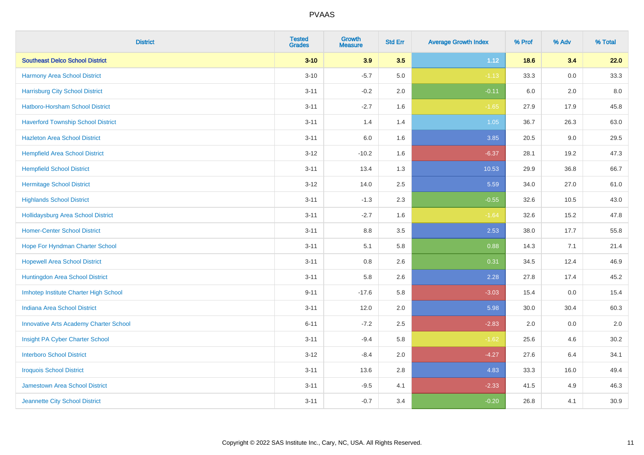| <b>District</b>                               | <b>Tested</b><br><b>Grades</b> | <b>Growth</b><br><b>Measure</b> | <b>Std Err</b> | <b>Average Growth Index</b> | % Prof | % Adv   | % Total |
|-----------------------------------------------|--------------------------------|---------------------------------|----------------|-----------------------------|--------|---------|---------|
| <b>Southeast Delco School District</b>        | $3 - 10$                       | 3.9                             | 3.5            | 1.12                        | 18.6   | 3.4     | 22.0    |
| Harmony Area School District                  | $3 - 10$                       | $-5.7$                          | 5.0            | $-1.13$                     | 33.3   | 0.0     | 33.3    |
| <b>Harrisburg City School District</b>        | $3 - 11$                       | $-0.2$                          | 2.0            | $-0.11$                     | 6.0    | 2.0     | 8.0     |
| Hatboro-Horsham School District               | $3 - 11$                       | $-2.7$                          | 1.6            | $-1.65$                     | 27.9   | 17.9    | 45.8    |
| <b>Haverford Township School District</b>     | $3 - 11$                       | 1.4                             | 1.4            | 1.05                        | 36.7   | 26.3    | 63.0    |
| <b>Hazleton Area School District</b>          | $3 - 11$                       | 6.0                             | 1.6            | 3.85                        | 20.5   | 9.0     | 29.5    |
| <b>Hempfield Area School District</b>         | $3 - 12$                       | $-10.2$                         | 1.6            | $-6.37$                     | 28.1   | 19.2    | 47.3    |
| <b>Hempfield School District</b>              | $3 - 11$                       | 13.4                            | 1.3            | 10.53                       | 29.9   | 36.8    | 66.7    |
| <b>Hermitage School District</b>              | $3 - 12$                       | 14.0                            | 2.5            | 5.59                        | 34.0   | 27.0    | 61.0    |
| <b>Highlands School District</b>              | $3 - 11$                       | $-1.3$                          | 2.3            | $-0.55$                     | 32.6   | 10.5    | 43.0    |
| <b>Hollidaysburg Area School District</b>     | $3 - 11$                       | $-2.7$                          | 1.6            | $-1.64$                     | 32.6   | 15.2    | 47.8    |
| <b>Homer-Center School District</b>           | $3 - 11$                       | 8.8                             | 3.5            | 2.53                        | 38.0   | 17.7    | 55.8    |
| Hope For Hyndman Charter School               | $3 - 11$                       | 5.1                             | 5.8            | 0.88                        | 14.3   | 7.1     | 21.4    |
| <b>Hopewell Area School District</b>          | $3 - 11$                       | 0.8                             | 2.6            | 0.31                        | 34.5   | 12.4    | 46.9    |
| Huntingdon Area School District               | $3 - 11$                       | 5.8                             | 2.6            | 2.28                        | 27.8   | 17.4    | 45.2    |
| Imhotep Institute Charter High School         | $9 - 11$                       | $-17.6$                         | 5.8            | $-3.03$                     | 15.4   | $0.0\,$ | 15.4    |
| <b>Indiana Area School District</b>           | $3 - 11$                       | 12.0                            | 2.0            | 5.98                        | 30.0   | 30.4    | 60.3    |
| <b>Innovative Arts Academy Charter School</b> | $6 - 11$                       | $-7.2$                          | 2.5            | $-2.83$                     | 2.0    | 0.0     | 2.0     |
| Insight PA Cyber Charter School               | $3 - 11$                       | $-9.4$                          | 5.8            | $-1.62$                     | 25.6   | 4.6     | 30.2    |
| <b>Interboro School District</b>              | $3 - 12$                       | $-8.4$                          | 2.0            | $-4.27$                     | 27.6   | 6.4     | 34.1    |
| <b>Iroquois School District</b>               | $3 - 11$                       | 13.6                            | 2.8            | 4.83                        | 33.3   | 16.0    | 49.4    |
| Jamestown Area School District                | $3 - 11$                       | $-9.5$                          | 4.1            | $-2.33$                     | 41.5   | 4.9     | 46.3    |
| Jeannette City School District                | $3 - 11$                       | $-0.7$                          | 3.4            | $-0.20$                     | 26.8   | 4.1     | 30.9    |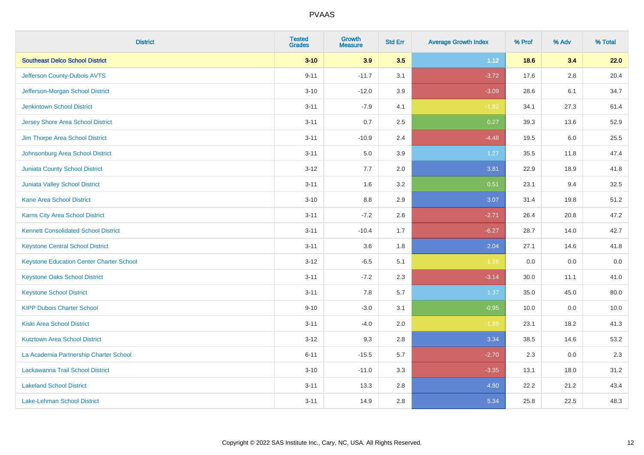| <b>District</b>                                 | <b>Tested</b><br><b>Grades</b> | <b>Growth</b><br><b>Measure</b> | <b>Std Err</b> | <b>Average Growth Index</b> | % Prof | % Adv   | % Total |
|-------------------------------------------------|--------------------------------|---------------------------------|----------------|-----------------------------|--------|---------|---------|
| <b>Southeast Delco School District</b>          | $3 - 10$                       | 3.9                             | 3.5            | 1.12                        | 18.6   | 3.4     | 22.0    |
| Jefferson County-Dubois AVTS                    | $9 - 11$                       | $-11.7$                         | 3.1            | $-3.72$                     | 17.6   | $2.8\,$ | 20.4    |
| Jefferson-Morgan School District                | $3 - 10$                       | $-12.0$                         | 3.9            | $-3.09$                     | 28.6   | 6.1     | 34.7    |
| <b>Jenkintown School District</b>               | $3 - 11$                       | $-7.9$                          | 4.1            | $-1.92$                     | 34.1   | 27.3    | 61.4    |
| <b>Jersey Shore Area School District</b>        | $3 - 11$                       | 0.7                             | 2.5            | 0.27                        | 39.3   | 13.6    | 52.9    |
| Jim Thorpe Area School District                 | $3 - 11$                       | $-10.9$                         | 2.4            | $-4.48$                     | 19.5   | 6.0     | 25.5    |
| Johnsonburg Area School District                | $3 - 11$                       | 5.0                             | 3.9            | 1.27                        | 35.5   | 11.8    | 47.4    |
| <b>Juniata County School District</b>           | $3 - 12$                       | 7.7                             | 2.0            | 3.81                        | 22.9   | 18.9    | 41.8    |
| <b>Juniata Valley School District</b>           | $3 - 11$                       | 1.6                             | 3.2            | 0.51                        | 23.1   | 9.4     | 32.5    |
| <b>Kane Area School District</b>                | $3 - 10$                       | 8.8                             | 2.9            | 3.07                        | 31.4   | 19.8    | 51.2    |
| Karns City Area School District                 | $3 - 11$                       | $-7.2$                          | 2.6            | $-2.71$                     | 26.4   | 20.8    | 47.2    |
| <b>Kennett Consolidated School District</b>     | $3 - 11$                       | $-10.4$                         | 1.7            | $-6.27$                     | 28.7   | 14.0    | 42.7    |
| <b>Keystone Central School District</b>         | $3 - 11$                       | 3.6                             | 1.8            | 2.04                        | 27.1   | 14.6    | 41.8    |
| <b>Keystone Education Center Charter School</b> | $3 - 12$                       | $-6.5$                          | 5.1            | $-1.28$                     | 0.0    | 0.0     | $0.0\,$ |
| <b>Keystone Oaks School District</b>            | $3 - 11$                       | $-7.2$                          | 2.3            | $-3.14$                     | 30.0   | 11.1    | 41.0    |
| <b>Keystone School District</b>                 | $3 - 11$                       | 7.8                             | 5.7            | 1.37                        | 35.0   | 45.0    | 80.0    |
| <b>KIPP Dubois Charter School</b>               | $9 - 10$                       | $-3.0$                          | 3.1            | $-0.95$                     | 10.0   | 0.0     | 10.0    |
| <b>Kiski Area School District</b>               | $3 - 11$                       | $-4.0$                          | 2.0            | $-1.99$                     | 23.1   | 18.2    | 41.3    |
| <b>Kutztown Area School District</b>            | $3 - 12$                       | 9.3                             | 2.8            | 3.34                        | 38.5   | 14.6    | 53.2    |
| La Academia Partnership Charter School          | $6 - 11$                       | $-15.5$                         | 5.7            | $-2.70$                     | 2.3    | 0.0     | 2.3     |
| Lackawanna Trail School District                | $3 - 10$                       | $-11.0$                         | 3.3            | $-3.35$                     | 13.1   | 18.0    | 31.2    |
| <b>Lakeland School District</b>                 | $3 - 11$                       | 13.3                            | 2.8            | 4.80                        | 22.2   | 21.2    | 43.4    |
| Lake-Lehman School District                     | $3 - 11$                       | 14.9                            | 2.8            | 5.34                        | 25.8   | 22.5    | 48.3    |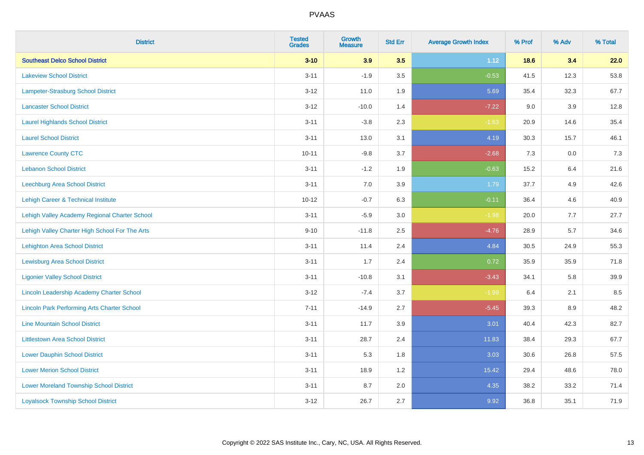| <b>District</b>                                    | <b>Tested</b><br><b>Grades</b> | <b>Growth</b><br><b>Measure</b> | <b>Std Err</b> | <b>Average Growth Index</b> | % Prof | % Adv | % Total |
|----------------------------------------------------|--------------------------------|---------------------------------|----------------|-----------------------------|--------|-------|---------|
| <b>Southeast Delco School District</b>             | $3 - 10$                       | 3.9                             | 3.5            | 1.12                        | 18.6   | 3.4   | 22.0    |
| <b>Lakeview School District</b>                    | $3 - 11$                       | $-1.9$                          | 3.5            | $-0.53$                     | 41.5   | 12.3  | 53.8    |
| <b>Lampeter-Strasburg School District</b>          | $3 - 12$                       | 11.0                            | 1.9            | 5.69                        | 35.4   | 32.3  | 67.7    |
| <b>Lancaster School District</b>                   | $3 - 12$                       | $-10.0$                         | 1.4            | $-7.22$                     | 9.0    | 3.9   | 12.8    |
| <b>Laurel Highlands School District</b>            | $3 - 11$                       | $-3.8$                          | 2.3            | $-1.63$                     | 20.9   | 14.6  | 35.4    |
| <b>Laurel School District</b>                      | $3 - 11$                       | 13.0                            | 3.1            | 4.19                        | 30.3   | 15.7  | 46.1    |
| <b>Lawrence County CTC</b>                         | $10 - 11$                      | $-9.8$                          | 3.7            | $-2.68$                     | 7.3    | 0.0   | 7.3     |
| <b>Lebanon School District</b>                     | $3 - 11$                       | $-1.2$                          | 1.9            | $-0.63$                     | 15.2   | 6.4   | 21.6    |
| Leechburg Area School District                     | $3 - 11$                       | 7.0                             | 3.9            | 1.79                        | 37.7   | 4.9   | 42.6    |
| Lehigh Career & Technical Institute                | $10 - 12$                      | $-0.7$                          | 6.3            | $-0.11$                     | 36.4   | 4.6   | 40.9    |
| Lehigh Valley Academy Regional Charter School      | $3 - 11$                       | $-5.9$                          | 3.0            | $-1.98$                     | 20.0   | 7.7   | 27.7    |
| Lehigh Valley Charter High School For The Arts     | $9 - 10$                       | $-11.8$                         | 2.5            | $-4.76$                     | 28.9   | 5.7   | 34.6    |
| <b>Lehighton Area School District</b>              | $3 - 11$                       | 11.4                            | 2.4            | 4.84                        | 30.5   | 24.9  | 55.3    |
| <b>Lewisburg Area School District</b>              | $3 - 11$                       | 1.7                             | 2.4            | 0.72                        | 35.9   | 35.9  | 71.8    |
| <b>Ligonier Valley School District</b>             | $3 - 11$                       | $-10.8$                         | 3.1            | $-3.43$                     | 34.1   | 5.8   | 39.9    |
| <b>Lincoln Leadership Academy Charter School</b>   | $3 - 12$                       | $-7.4$                          | 3.7            | $-1.99$                     | 6.4    | 2.1   | 8.5     |
| <b>Lincoln Park Performing Arts Charter School</b> | $7 - 11$                       | $-14.9$                         | 2.7            | $-5.45$                     | 39.3   | 8.9   | 48.2    |
| <b>Line Mountain School District</b>               | $3 - 11$                       | 11.7                            | 3.9            | 3.01                        | 40.4   | 42.3  | 82.7    |
| <b>Littlestown Area School District</b>            | $3 - 11$                       | 28.7                            | 2.4            | 11.83                       | 38.4   | 29.3  | 67.7    |
| <b>Lower Dauphin School District</b>               | $3 - 11$                       | 5.3                             | 1.8            | 3.03                        | 30.6   | 26.8  | 57.5    |
| <b>Lower Merion School District</b>                | $3 - 11$                       | 18.9                            | 1.2            | 15.42                       | 29.4   | 48.6  | 78.0    |
| <b>Lower Moreland Township School District</b>     | $3 - 11$                       | 8.7                             | 2.0            | 4.35                        | 38.2   | 33.2  | 71.4    |
| <b>Loyalsock Township School District</b>          | $3 - 12$                       | 26.7                            | 2.7            | 9.92                        | 36.8   | 35.1  | 71.9    |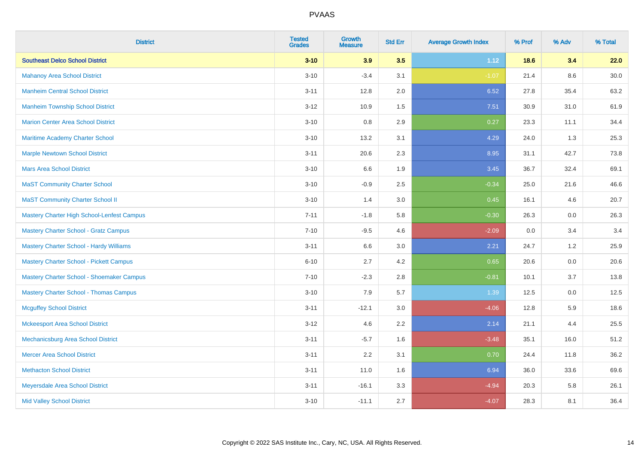| <b>District</b>                                | <b>Tested</b><br><b>Grades</b> | <b>Growth</b><br><b>Measure</b> | <b>Std Err</b> | <b>Average Growth Index</b> | % Prof | % Adv   | % Total  |
|------------------------------------------------|--------------------------------|---------------------------------|----------------|-----------------------------|--------|---------|----------|
| <b>Southeast Delco School District</b>         | $3 - 10$                       | 3.9                             | 3.5            | 1.12                        | 18.6   | 3.4     | 22.0     |
| <b>Mahanoy Area School District</b>            | $3 - 10$                       | $-3.4$                          | 3.1            | $-1.07$                     | 21.4   | $8.6\,$ | $30.0\,$ |
| <b>Manheim Central School District</b>         | $3 - 11$                       | 12.8                            | 2.0            | 6.52                        | 27.8   | 35.4    | 63.2     |
| <b>Manheim Township School District</b>        | $3 - 12$                       | 10.9                            | 1.5            | 7.51                        | 30.9   | 31.0    | 61.9     |
| <b>Marion Center Area School District</b>      | $3 - 10$                       | 0.8                             | 2.9            | 0.27                        | 23.3   | 11.1    | 34.4     |
| Maritime Academy Charter School                | $3 - 10$                       | 13.2                            | 3.1            | 4.29                        | 24.0   | 1.3     | 25.3     |
| <b>Marple Newtown School District</b>          | $3 - 11$                       | 20.6                            | 2.3            | 8.95                        | 31.1   | 42.7    | 73.8     |
| <b>Mars Area School District</b>               | $3 - 10$                       | 6.6                             | 1.9            | 3.45                        | 36.7   | 32.4    | 69.1     |
| <b>MaST Community Charter School</b>           | $3 - 10$                       | $-0.9$                          | 2.5            | $-0.34$                     | 25.0   | 21.6    | 46.6     |
| <b>MaST Community Charter School II</b>        | $3 - 10$                       | 1.4                             | 3.0            | 0.45                        | 16.1   | 4.6     | 20.7     |
| Mastery Charter High School-Lenfest Campus     | $7 - 11$                       | $-1.8$                          | 5.8            | $-0.30$                     | 26.3   | 0.0     | 26.3     |
| <b>Mastery Charter School - Gratz Campus</b>   | $7 - 10$                       | $-9.5$                          | 4.6            | $-2.09$                     | 0.0    | 3.4     | 3.4      |
| <b>Mastery Charter School - Hardy Williams</b> | $3 - 11$                       | 6.6                             | 3.0            | 2.21                        | 24.7   | 1.2     | 25.9     |
| Mastery Charter School - Pickett Campus        | $6 - 10$                       | 2.7                             | 4.2            | 0.65                        | 20.6   | 0.0     | 20.6     |
| Mastery Charter School - Shoemaker Campus      | $7 - 10$                       | $-2.3$                          | 2.8            | $-0.81$                     | 10.1   | 3.7     | 13.8     |
| <b>Mastery Charter School - Thomas Campus</b>  | $3 - 10$                       | 7.9                             | 5.7            | 1.39                        | 12.5   | 0.0     | 12.5     |
| <b>Mcguffey School District</b>                | $3 - 11$                       | $-12.1$                         | 3.0            | $-4.06$                     | 12.8   | 5.9     | 18.6     |
| <b>Mckeesport Area School District</b>         | $3 - 12$                       | 4.6                             | 2.2            | 2.14                        | 21.1   | 4.4     | 25.5     |
| Mechanicsburg Area School District             | $3 - 11$                       | $-5.7$                          | 1.6            | $-3.48$                     | 35.1   | 16.0    | 51.2     |
| <b>Mercer Area School District</b>             | $3 - 11$                       | 2.2                             | 3.1            | 0.70                        | 24.4   | 11.8    | 36.2     |
| <b>Methacton School District</b>               | $3 - 11$                       | 11.0                            | 1.6            | 6.94                        | 36.0   | 33.6    | 69.6     |
| Meyersdale Area School District                | $3 - 11$                       | $-16.1$                         | 3.3            | $-4.94$                     | 20.3   | 5.8     | 26.1     |
| <b>Mid Valley School District</b>              | $3 - 10$                       | $-11.1$                         | 2.7            | $-4.07$                     | 28.3   | 8.1     | 36.4     |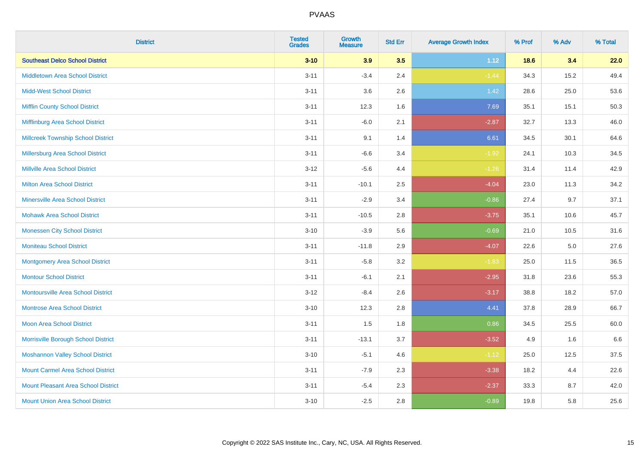| <b>District</b>                            | <b>Tested</b><br><b>Grades</b> | <b>Growth</b><br><b>Measure</b> | <b>Std Err</b> | <b>Average Growth Index</b> | % Prof | % Adv   | % Total |
|--------------------------------------------|--------------------------------|---------------------------------|----------------|-----------------------------|--------|---------|---------|
| <b>Southeast Delco School District</b>     | $3 - 10$                       | 3.9                             | 3.5            | 1.12                        | 18.6   | 3.4     | 22.0    |
| <b>Middletown Area School District</b>     | $3 - 11$                       | $-3.4$                          | 2.4            | $-1.44$                     | 34.3   | 15.2    | 49.4    |
| <b>Midd-West School District</b>           | $3 - 11$                       | 3.6                             | 2.6            | 1.42                        | 28.6   | 25.0    | 53.6    |
| <b>Mifflin County School District</b>      | $3 - 11$                       | 12.3                            | 1.6            | 7.69                        | 35.1   | 15.1    | 50.3    |
| Mifflinburg Area School District           | $3 - 11$                       | $-6.0$                          | 2.1            | $-2.87$                     | 32.7   | 13.3    | 46.0    |
| <b>Millcreek Township School District</b>  | $3 - 11$                       | 9.1                             | 1.4            | 6.61                        | 34.5   | 30.1    | 64.6    |
| Millersburg Area School District           | $3 - 11$                       | $-6.6$                          | 3.4            | $-1.92$                     | 24.1   | 10.3    | 34.5    |
| <b>Millville Area School District</b>      | $3 - 12$                       | $-5.6$                          | 4.4            | $-1.26$                     | 31.4   | 11.4    | 42.9    |
| <b>Milton Area School District</b>         | $3 - 11$                       | $-10.1$                         | 2.5            | $-4.04$                     | 23.0   | 11.3    | 34.2    |
| <b>Minersville Area School District</b>    | $3 - 11$                       | $-2.9$                          | 3.4            | $-0.86$                     | 27.4   | 9.7     | 37.1    |
| <b>Mohawk Area School District</b>         | $3 - 11$                       | $-10.5$                         | 2.8            | $-3.75$                     | 35.1   | 10.6    | 45.7    |
| <b>Monessen City School District</b>       | $3 - 10$                       | $-3.9$                          | 5.6            | $-0.69$                     | 21.0   | 10.5    | 31.6    |
| <b>Moniteau School District</b>            | $3 - 11$                       | $-11.8$                         | 2.9            | $-4.07$                     | 22.6   | $5.0\,$ | 27.6    |
| <b>Montgomery Area School District</b>     | $3 - 11$                       | $-5.8$                          | 3.2            | $-1.83$                     | 25.0   | 11.5    | 36.5    |
| <b>Montour School District</b>             | $3 - 11$                       | $-6.1$                          | 2.1            | $-2.95$                     | 31.8   | 23.6    | 55.3    |
| <b>Montoursville Area School District</b>  | $3 - 12$                       | $-8.4$                          | 2.6            | $-3.17$                     | 38.8   | 18.2    | 57.0    |
| <b>Montrose Area School District</b>       | $3 - 10$                       | 12.3                            | 2.8            | 4.41                        | 37.8   | 28.9    | 66.7    |
| <b>Moon Area School District</b>           | $3 - 11$                       | 1.5                             | 1.8            | 0.86                        | 34.5   | 25.5    | 60.0    |
| Morrisville Borough School District        | $3 - 11$                       | $-13.1$                         | 3.7            | $-3.52$                     | 4.9    | 1.6     | 6.6     |
| <b>Moshannon Valley School District</b>    | $3 - 10$                       | $-5.1$                          | 4.6            | $-1.12$                     | 25.0   | 12.5    | 37.5    |
| <b>Mount Carmel Area School District</b>   | $3 - 11$                       | $-7.9$                          | 2.3            | $-3.38$                     | 18.2   | 4.4     | 22.6    |
| <b>Mount Pleasant Area School District</b> | $3 - 11$                       | $-5.4$                          | 2.3            | $-2.37$                     | 33.3   | 8.7     | 42.0    |
| <b>Mount Union Area School District</b>    | $3 - 10$                       | $-2.5$                          | 2.8            | $-0.89$                     | 19.8   | 5.8     | 25.6    |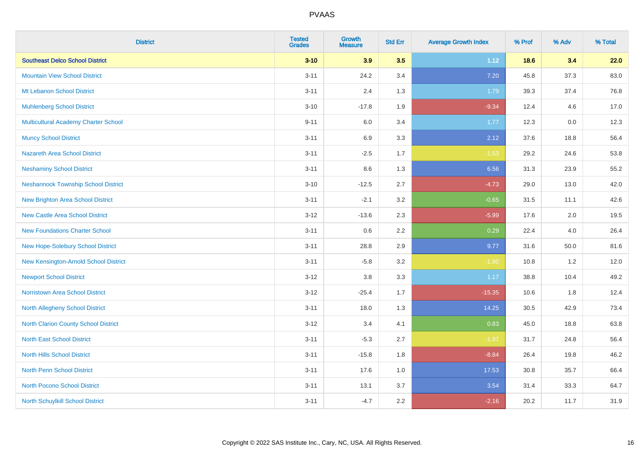| <b>District</b>                             | <b>Tested</b><br><b>Grades</b> | <b>Growth</b><br><b>Measure</b> | <b>Std Err</b> | <b>Average Growth Index</b> | % Prof | % Adv | % Total |
|---------------------------------------------|--------------------------------|---------------------------------|----------------|-----------------------------|--------|-------|---------|
| <b>Southeast Delco School District</b>      | $3 - 10$                       | 3.9                             | 3.5            | 1.12                        | 18.6   | 3.4   | 22.0    |
| <b>Mountain View School District</b>        | $3 - 11$                       | 24.2                            | 3.4            | 7.20                        | 45.8   | 37.3  | 83.0    |
| Mt Lebanon School District                  | $3 - 11$                       | 2.4                             | 1.3            | 1.79                        | 39.3   | 37.4  | 76.8    |
| <b>Muhlenberg School District</b>           | $3 - 10$                       | $-17.8$                         | 1.9            | $-9.34$                     | 12.4   | 4.6   | 17.0    |
| <b>Multicultural Academy Charter School</b> | $9 - 11$                       | 6.0                             | 3.4            | 1.77                        | 12.3   | 0.0   | 12.3    |
| <b>Muncy School District</b>                | $3 - 11$                       | 6.9                             | 3.3            | 2.12                        | 37.6   | 18.8  | 56.4    |
| <b>Nazareth Area School District</b>        | $3 - 11$                       | $-2.5$                          | 1.7            | $-1.53$                     | 29.2   | 24.6  | 53.8    |
| <b>Neshaminy School District</b>            | $3 - 11$                       | 8.6                             | 1.3            | 6.56                        | 31.3   | 23.9  | 55.2    |
| <b>Neshannock Township School District</b>  | $3 - 10$                       | $-12.5$                         | 2.7            | $-4.73$                     | 29.0   | 13.0  | 42.0    |
| <b>New Brighton Area School District</b>    | $3 - 11$                       | $-2.1$                          | 3.2            | $-0.65$                     | 31.5   | 11.1  | 42.6    |
| New Castle Area School District             | $3-12$                         | $-13.6$                         | 2.3            | $-5.99$                     | 17.6   | 2.0   | 19.5    |
| <b>New Foundations Charter School</b>       | $3 - 11$                       | 0.6                             | 2.2            | 0.29                        | 22.4   | 4.0   | 26.4    |
| New Hope-Solebury School District           | $3 - 11$                       | 28.8                            | 2.9            | 9.77                        | 31.6   | 50.0  | 81.6    |
| New Kensington-Arnold School District       | $3 - 11$                       | $-5.8$                          | 3.2            | $-1.80$                     | 10.8   | 1.2   | 12.0    |
| <b>Newport School District</b>              | $3-12$                         | $3.8\,$                         | 3.3            | 1.17                        | 38.8   | 10.4  | 49.2    |
| <b>Norristown Area School District</b>      | $3 - 12$                       | $-25.4$                         | 1.7            | $-15.35$                    | 10.6   | 1.8   | 12.4    |
| North Allegheny School District             | $3 - 11$                       | 18.0                            | 1.3            | 14.25                       | 30.5   | 42.9  | 73.4    |
| North Clarion County School District        | $3 - 12$                       | 3.4                             | 4.1            | 0.83                        | 45.0   | 18.8  | 63.8    |
| <b>North East School District</b>           | $3 - 11$                       | $-5.3$                          | 2.7            | $-1.97$                     | 31.7   | 24.8  | 56.4    |
| <b>North Hills School District</b>          | $3 - 11$                       | $-15.8$                         | 1.8            | $-8.84$                     | 26.4   | 19.8  | 46.2    |
| <b>North Penn School District</b>           | $3 - 11$                       | 17.6                            | 1.0            | 17.53                       | 30.8   | 35.7  | 66.4    |
| <b>North Pocono School District</b>         | $3 - 11$                       | 13.1                            | 3.7            | 3.54                        | 31.4   | 33.3  | 64.7    |
| North Schuylkill School District            | $3 - 11$                       | $-4.7$                          | 2.2            | $-2.16$                     | 20.2   | 11.7  | 31.9    |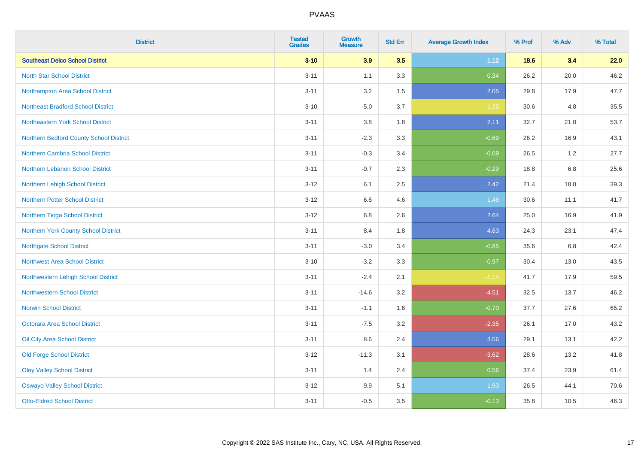| <b>District</b>                           | <b>Tested</b><br><b>Grades</b> | <b>Growth</b><br><b>Measure</b> | <b>Std Err</b> | <b>Average Growth Index</b> | % Prof | % Adv   | % Total |
|-------------------------------------------|--------------------------------|---------------------------------|----------------|-----------------------------|--------|---------|---------|
| <b>Southeast Delco School District</b>    | $3 - 10$                       | 3.9                             | 3.5            | 1.12                        | 18.6   | 3.4     | 22.0    |
| <b>North Star School District</b>         | $3 - 11$                       | 1.1                             | 3.3            | 0.34                        | 26.2   | 20.0    | 46.2    |
| Northampton Area School District          | $3 - 11$                       | 3.2                             | 1.5            | 2.05                        | 29.8   | 17.9    | 47.7    |
| <b>Northeast Bradford School District</b> | $3 - 10$                       | $-5.0$                          | 3.7            | $-1.35$                     | 30.6   | 4.8     | 35.5    |
| Northeastern York School District         | $3 - 11$                       | 3.8                             | 1.8            | 2.11                        | 32.7   | 21.0    | 53.7    |
| Northern Bedford County School District   | $3 - 11$                       | $-2.3$                          | 3.3            | $-0.69$                     | 26.2   | 16.9    | 43.1    |
| Northern Cambria School District          | $3 - 11$                       | $-0.3$                          | 3.4            | $-0.09$                     | 26.5   | 1.2     | 27.7    |
| Northern Lebanon School District          | $3 - 11$                       | $-0.7$                          | 2.3            | $-0.29$                     | 18.8   | 6.8     | 25.6    |
| Northern Lehigh School District           | $3 - 12$                       | 6.1                             | 2.5            | 2.42                        | 21.4   | 18.0    | 39.3    |
| Northern Potter School District           | $3 - 12$                       | 6.8                             | 4.6            | 1.48                        | 30.6   | 11.1    | 41.7    |
| Northern Tioga School District            | $3 - 12$                       | 6.8                             | 2.6            | 2.64                        | 25.0   | 16.9    | 41.9    |
| Northern York County School District      | $3 - 11$                       | 8.4                             | 1.8            | 4.63                        | 24.3   | 23.1    | 47.4    |
| <b>Northgate School District</b>          | $3 - 11$                       | $-3.0$                          | 3.4            | $-0.85$                     | 35.6   | $6.8\,$ | 42.4    |
| <b>Northwest Area School District</b>     | $3 - 10$                       | $-3.2$                          | 3.3            | $-0.97$                     | 30.4   | 13.0    | 43.5    |
| Northwestern Lehigh School District       | $3 - 11$                       | $-2.4$                          | 2.1            | $-1.14$                     | 41.7   | 17.9    | 59.5    |
| <b>Northwestern School District</b>       | $3 - 11$                       | $-14.6$                         | 3.2            | $-4.51$                     | 32.5   | 13.7    | 46.2    |
| <b>Norwin School District</b>             | $3 - 11$                       | $-1.1$                          | 1.6            | $-0.70$                     | 37.7   | 27.6    | 65.2    |
| <b>Octorara Area School District</b>      | $3 - 11$                       | $-7.5$                          | 3.2            | $-2.35$                     | 26.1   | 17.0    | 43.2    |
| Oil City Area School District             | $3 - 11$                       | 8.6                             | 2.4            | 3.56                        | 29.1   | 13.1    | 42.2    |
| <b>Old Forge School District</b>          | $3 - 12$                       | $-11.3$                         | 3.1            | $-3.62$                     | 28.6   | 13.2    | 41.8    |
| <b>Oley Valley School District</b>        | $3 - 11$                       | 1.4                             | 2.4            | 0.56                        | 37.4   | 23.9    | 61.4    |
| <b>Oswayo Valley School District</b>      | $3 - 12$                       | 9.9                             | 5.1            | 1.93                        | 26.5   | 44.1    | 70.6    |
| <b>Otto-Eldred School District</b>        | $3 - 11$                       | $-0.5$                          | 3.5            | $-0.13$                     | 35.8   | 10.5    | 46.3    |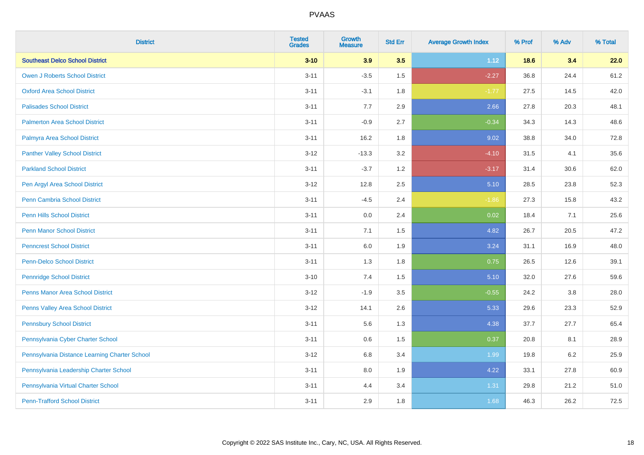| <b>District</b>                               | <b>Tested</b><br><b>Grades</b> | <b>Growth</b><br><b>Measure</b> | <b>Std Err</b> | <b>Average Growth Index</b> | % Prof | % Adv   | % Total |
|-----------------------------------------------|--------------------------------|---------------------------------|----------------|-----------------------------|--------|---------|---------|
| <b>Southeast Delco School District</b>        | $3 - 10$                       | 3.9                             | 3.5            | 1.12                        | 18.6   | 3.4     | 22.0    |
| <b>Owen J Roberts School District</b>         | $3 - 11$                       | $-3.5$                          | 1.5            | $-2.27$                     | 36.8   | 24.4    | 61.2    |
| <b>Oxford Area School District</b>            | $3 - 11$                       | $-3.1$                          | 1.8            | $-1.77$                     | 27.5   | 14.5    | 42.0    |
| <b>Palisades School District</b>              | $3 - 11$                       | 7.7                             | 2.9            | 2.66                        | 27.8   | 20.3    | 48.1    |
| <b>Palmerton Area School District</b>         | $3 - 11$                       | $-0.9$                          | 2.7            | $-0.34$                     | 34.3   | 14.3    | 48.6    |
| Palmyra Area School District                  | $3 - 11$                       | 16.2                            | 1.8            | 9.02                        | 38.8   | 34.0    | 72.8    |
| <b>Panther Valley School District</b>         | $3 - 12$                       | $-13.3$                         | 3.2            | $-4.10$                     | 31.5   | 4.1     | 35.6    |
| <b>Parkland School District</b>               | $3 - 11$                       | $-3.7$                          | 1.2            | $-3.17$                     | 31.4   | 30.6    | 62.0    |
| Pen Argyl Area School District                | $3-12$                         | 12.8                            | 2.5            | 5.10                        | 28.5   | 23.8    | 52.3    |
| <b>Penn Cambria School District</b>           | $3 - 11$                       | $-4.5$                          | 2.4            | $-1.86$                     | 27.3   | 15.8    | 43.2    |
| <b>Penn Hills School District</b>             | $3 - 11$                       | 0.0                             | 2.4            | 0.02                        | 18.4   | 7.1     | 25.6    |
| <b>Penn Manor School District</b>             | $3 - 11$                       | 7.1                             | 1.5            | 4.82                        | 26.7   | 20.5    | 47.2    |
| <b>Penncrest School District</b>              | $3 - 11$                       | $6.0\,$                         | 1.9            | 3.24                        | 31.1   | 16.9    | 48.0    |
| <b>Penn-Delco School District</b>             | $3 - 11$                       | 1.3                             | 1.8            | 0.75                        | 26.5   | 12.6    | 39.1    |
| Pennridge School District                     | $3 - 10$                       | 7.4                             | 1.5            | 5.10                        | 32.0   | 27.6    | 59.6    |
| Penns Manor Area School District              | $3 - 12$                       | $-1.9$                          | 3.5            | $-0.55$                     | 24.2   | $3.8\,$ | 28.0    |
| Penns Valley Area School District             | $3 - 12$                       | 14.1                            | 2.6            | 5.33                        | 29.6   | 23.3    | 52.9    |
| <b>Pennsbury School District</b>              | $3 - 11$                       | 5.6                             | 1.3            | 4.38                        | 37.7   | 27.7    | 65.4    |
| Pennsylvania Cyber Charter School             | $3 - 11$                       | 0.6                             | 1.5            | 0.37                        | 20.8   | 8.1     | 28.9    |
| Pennsylvania Distance Learning Charter School | $3 - 12$                       | $6.8\,$                         | 3.4            | 1.99                        | 19.8   | 6.2     | 25.9    |
| Pennsylvania Leadership Charter School        | $3 - 11$                       | 8.0                             | 1.9            | 4.22                        | 33.1   | 27.8    | 60.9    |
| Pennsylvania Virtual Charter School           | $3 - 11$                       | 4.4                             | 3.4            | 1.31                        | 29.8   | 21.2    | 51.0    |
| <b>Penn-Trafford School District</b>          | $3 - 11$                       | 2.9                             | 1.8            | 1.68                        | 46.3   | 26.2    | 72.5    |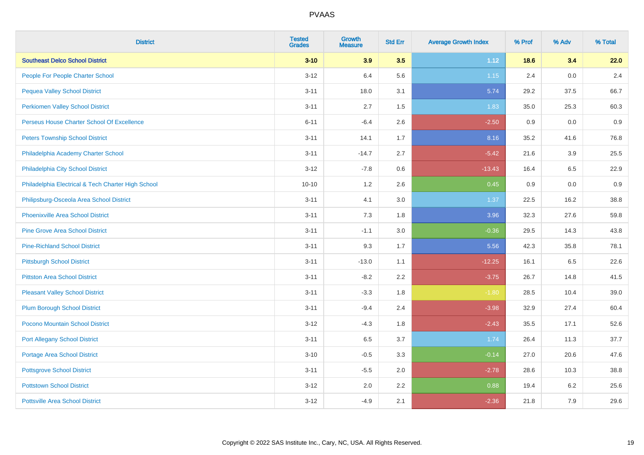| <b>District</b>                                    | <b>Tested</b><br><b>Grades</b> | <b>Growth</b><br><b>Measure</b> | <b>Std Err</b> | <b>Average Growth Index</b> | % Prof | % Adv   | % Total |
|----------------------------------------------------|--------------------------------|---------------------------------|----------------|-----------------------------|--------|---------|---------|
| <b>Southeast Delco School District</b>             | $3 - 10$                       | 3.9                             | 3.5            | 1.12                        | 18.6   | 3.4     | 22.0    |
| People For People Charter School                   | $3 - 12$                       | 6.4                             | 5.6            | 1.15                        | 2.4    | 0.0     | 2.4     |
| <b>Pequea Valley School District</b>               | $3 - 11$                       | 18.0                            | 3.1            | 5.74                        | 29.2   | 37.5    | 66.7    |
| <b>Perkiomen Valley School District</b>            | $3 - 11$                       | 2.7                             | $1.5\,$        | 1.83                        | 35.0   | 25.3    | 60.3    |
| Perseus House Charter School Of Excellence         | $6 - 11$                       | $-6.4$                          | 2.6            | $-2.50$                     | 0.9    | 0.0     | 0.9     |
| <b>Peters Township School District</b>             | $3 - 11$                       | 14.1                            | 1.7            | 8.16                        | 35.2   | 41.6    | 76.8    |
| Philadelphia Academy Charter School                | $3 - 11$                       | $-14.7$                         | 2.7            | $-5.42$                     | 21.6   | 3.9     | 25.5    |
| Philadelphia City School District                  | $3 - 12$                       | $-7.8$                          | 0.6            | $-13.43$                    | 16.4   | 6.5     | 22.9    |
| Philadelphia Electrical & Tech Charter High School | $10 - 10$                      | 1.2                             | 2.6            | 0.45                        | 0.9    | 0.0     | 0.9     |
| Philipsburg-Osceola Area School District           | $3 - 11$                       | 4.1                             | 3.0            | 1.37                        | 22.5   | 16.2    | 38.8    |
| Phoenixville Area School District                  | $3 - 11$                       | 7.3                             | 1.8            | 3.96                        | 32.3   | 27.6    | 59.8    |
| <b>Pine Grove Area School District</b>             | $3 - 11$                       | $-1.1$                          | 3.0            | $-0.36$                     | 29.5   | 14.3    | 43.8    |
| <b>Pine-Richland School District</b>               | $3 - 11$                       | 9.3                             | 1.7            | 5.56                        | 42.3   | 35.8    | 78.1    |
| <b>Pittsburgh School District</b>                  | $3 - 11$                       | $-13.0$                         | 1.1            | $-12.25$                    | 16.1   | 6.5     | 22.6    |
| <b>Pittston Area School District</b>               | $3 - 11$                       | $-8.2$                          | 2.2            | $-3.75$                     | 26.7   | 14.8    | 41.5    |
| <b>Pleasant Valley School District</b>             | $3 - 11$                       | $-3.3$                          | 1.8            | $-1.80$                     | 28.5   | 10.4    | 39.0    |
| <b>Plum Borough School District</b>                | $3 - 11$                       | $-9.4$                          | 2.4            | $-3.98$                     | 32.9   | 27.4    | 60.4    |
| <b>Pocono Mountain School District</b>             | $3 - 12$                       | $-4.3$                          | 1.8            | $-2.43$                     | 35.5   | 17.1    | 52.6    |
| <b>Port Allegany School District</b>               | $3 - 11$                       | 6.5                             | 3.7            | 1.74                        | 26.4   | 11.3    | 37.7    |
| <b>Portage Area School District</b>                | $3 - 10$                       | $-0.5$                          | 3.3            | $-0.14$                     | 27.0   | 20.6    | 47.6    |
| <b>Pottsgrove School District</b>                  | $3 - 11$                       | $-5.5$                          | 2.0            | $-2.78$                     | 28.6   | 10.3    | 38.8    |
| <b>Pottstown School District</b>                   | $3 - 12$                       | 2.0                             | 2.2            | 0.88                        | 19.4   | $6.2\,$ | 25.6    |
| <b>Pottsville Area School District</b>             | $3 - 12$                       | $-4.9$                          | 2.1            | $-2.36$                     | 21.8   | 7.9     | 29.6    |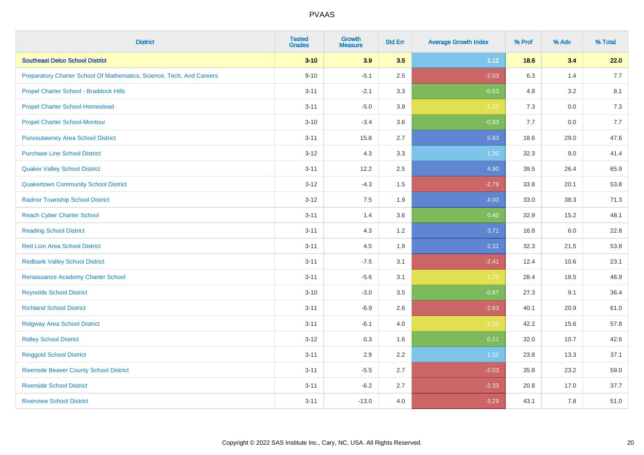| <b>District</b>                                                       | <b>Tested</b><br><b>Grades</b> | <b>Growth</b><br><b>Measure</b> | <b>Std Err</b> | <b>Average Growth Index</b> | % Prof | % Adv | % Total |
|-----------------------------------------------------------------------|--------------------------------|---------------------------------|----------------|-----------------------------|--------|-------|---------|
| <b>Southeast Delco School District</b>                                | $3 - 10$                       | 3.9                             | 3.5            | 1.12                        | 18.6   | 3.4   | 22.0    |
| Preparatory Charter School Of Mathematics, Science, Tech, And Careers | $9 - 10$                       | $-5.1$                          | 2.5            | $-2.03$                     | 6.3    | 1.4   | 7.7     |
| Propel Charter School - Braddock Hills                                | $3 - 11$                       | $-2.1$                          | 3.3            | $-0.63$                     | 4.8    | 3.2   | 8.1     |
| <b>Propel Charter School-Homestead</b>                                | $3 - 11$                       | $-5.0$                          | 3.9            | $-1.27$                     | 7.3    | 0.0   | 7.3     |
| <b>Propel Charter School-Montour</b>                                  | $3 - 10$                       | $-3.4$                          | 3.6            | $-0.93$                     | 7.7    | 0.0   | 7.7     |
| <b>Punxsutawney Area School District</b>                              | $3 - 11$                       | 15.8                            | 2.7            | 5.83                        | 18.6   | 29.0  | 47.6    |
| <b>Purchase Line School District</b>                                  | $3 - 12$                       | 4.3                             | 3.3            | 1.30                        | 32.3   | 9.0   | 41.4    |
| <b>Quaker Valley School District</b>                                  | $3 - 11$                       | 12.2                            | 2.5            | 4.90                        | 39.5   | 26.4  | 65.9    |
| <b>Quakertown Community School District</b>                           | $3 - 12$                       | $-4.3$                          | 1.5            | $-2.79$                     | 33.8   | 20.1  | 53.8    |
| <b>Radnor Township School District</b>                                | $3 - 12$                       | 7.5                             | 1.9            | 4.03                        | 33.0   | 38.3  | 71.3    |
| <b>Reach Cyber Charter School</b>                                     | $3 - 11$                       | 1.4                             | 3.6            | 0.40                        | 32.9   | 15.2  | 48.1    |
| <b>Reading School District</b>                                        | $3 - 11$                       | 4.3                             | 1.2            | 3.71                        | 16.8   | 6.0   | 22.8    |
| <b>Red Lion Area School District</b>                                  | $3 - 11$                       | 4.5                             | 1.9            | 2.31                        | 32.3   | 21.5  | 53.8    |
| <b>Redbank Valley School District</b>                                 | $3 - 11$                       | $-7.5$                          | 3.1            | $-2.41$                     | 12.4   | 10.6  | 23.1    |
| Renaissance Academy Charter School                                    | $3 - 11$                       | $-5.6$                          | 3.1            | $-1.79$                     | 28.4   | 18.5  | 46.9    |
| <b>Reynolds School District</b>                                       | $3 - 10$                       | $-3.0$                          | 3.5            | $-0.87$                     | 27.3   | 9.1   | 36.4    |
| <b>Richland School District</b>                                       | $3 - 11$                       | $-6.9$                          | 2.6            | $-2.63$                     | 40.1   | 20.9  | 61.0    |
| <b>Ridgway Area School District</b>                                   | $3 - 11$                       | $-6.1$                          | 4.0            | $-1.53$                     | 42.2   | 15.6  | 57.8    |
| <b>Ridley School District</b>                                         | $3 - 12$                       | 0.3                             | 1.6            | 0.21                        | 32.0   | 10.7  | 42.6    |
| <b>Ringgold School District</b>                                       | $3 - 11$                       | 2.9                             | 2.2            | 1.32                        | 23.8   | 13.3  | 37.1    |
| <b>Riverside Beaver County School District</b>                        | $3 - 11$                       | $-5.5$                          | 2.7            | $-2.03$                     | 35.8   | 23.2  | 59.0    |
| <b>Riverside School District</b>                                      | $3 - 11$                       | $-6.2$                          | 2.7            | $-2.33$                     | 20.8   | 17.0  | 37.7    |
| <b>Riverview School District</b>                                      | $3 - 11$                       | $-13.0$                         | 4.0            | $-3.29$                     | 43.1   | 7.8   | 51.0    |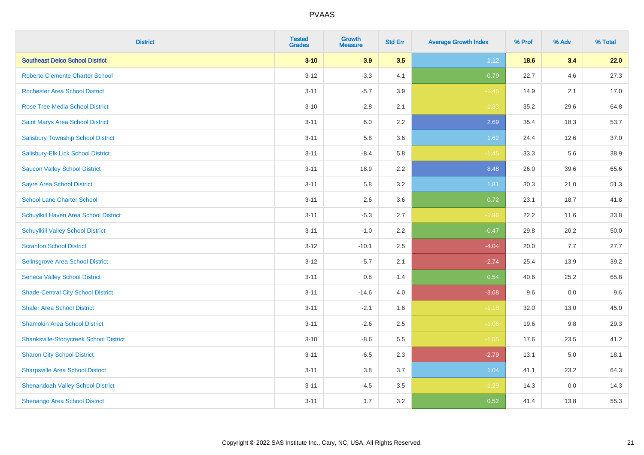| <b>District</b>                               | <b>Tested</b><br><b>Grades</b> | <b>Growth</b><br><b>Measure</b> | <b>Std Err</b> | <b>Average Growth Index</b> | % Prof | % Adv | % Total |
|-----------------------------------------------|--------------------------------|---------------------------------|----------------|-----------------------------|--------|-------|---------|
| <b>Southeast Delco School District</b>        | $3 - 10$                       | 3.9                             | 3.5            | 1.12                        | 18.6   | 3.4   | 22.0    |
| <b>Roberto Clemente Charter School</b>        | $3 - 12$                       | $-3.3$                          | 4.1            | $-0.79$                     | 22.7   | 4.6   | 27.3    |
| <b>Rochester Area School District</b>         | $3 - 11$                       | $-5.7$                          | 3.9            | $-1.45$                     | 14.9   | 2.1   | 17.0    |
| <b>Rose Tree Media School District</b>        | $3 - 10$                       | $-2.8$                          | 2.1            | $-1.33$                     | 35.2   | 29.6  | 64.8    |
| Saint Marys Area School District              | $3 - 11$                       | 6.0                             | 2.2            | 2.69                        | 35.4   | 18.3  | 53.7    |
| <b>Salisbury Township School District</b>     | $3 - 11$                       | 5.8                             | 3.6            | 1.62                        | 24.4   | 12.6  | 37.0    |
| Salisbury-Elk Lick School District            | $3 - 11$                       | $-8.4$                          | 5.8            | $-1.45$                     | 33.3   | 5.6   | 38.9    |
| <b>Saucon Valley School District</b>          | $3 - 11$                       | 18.9                            | 2.2            | 8.48                        | 26.0   | 39.6  | 65.6    |
| <b>Sayre Area School District</b>             | $3 - 11$                       | 5.8                             | 3.2            | 1.81                        | 30.3   | 21.0  | 51.3    |
| <b>School Lane Charter School</b>             | $3 - 11$                       | 2.6                             | 3.6            | 0.72                        | 23.1   | 18.7  | 41.8    |
| Schuylkill Haven Area School District         | $3 - 11$                       | $-5.3$                          | 2.7            | $-1.96$                     | 22.2   | 11.6  | 33.8    |
| <b>Schuylkill Valley School District</b>      | $3 - 11$                       | $-1.0$                          | 2.2            | $-0.47$                     | 29.8   | 20.2  | 50.0    |
| <b>Scranton School District</b>               | $3 - 12$                       | $-10.1$                         | 2.5            | $-4.04$                     | 20.0   | 7.7   | 27.7    |
| Selinsgrove Area School District              | $3 - 12$                       | $-5.7$                          | 2.1            | $-2.74$                     | 25.4   | 13.9  | 39.2    |
| <b>Seneca Valley School District</b>          | $3 - 11$                       | $0.8\,$                         | 1.4            | 0.54                        | 40.6   | 25.2  | 65.8    |
| <b>Shade-Central City School District</b>     | $3 - 11$                       | $-14.6$                         | 4.0            | $-3.68$                     | 9.6    | 0.0   | 9.6     |
| <b>Shaler Area School District</b>            | $3 - 11$                       | $-2.1$                          | 1.8            | $-1.18$                     | 32.0   | 13.0  | 45.0    |
| <b>Shamokin Area School District</b>          | $3 - 11$                       | $-2.6$                          | 2.5            | $-1.06$                     | 19.6   | 9.8   | 29.3    |
| <b>Shanksville-Stonycreek School District</b> | $3 - 10$                       | $-8.6$                          | 5.5            | $-1.55$                     | 17.6   | 23.5  | 41.2    |
| <b>Sharon City School District</b>            | $3 - 11$                       | $-6.5$                          | 2.3            | $-2.79$                     | 13.1   | 5.0   | 18.1    |
| <b>Sharpsville Area School District</b>       | $3 - 11$                       | 3.8                             | 3.7            | 1.04                        | 41.1   | 23.2  | 64.3    |
| <b>Shenandoah Valley School District</b>      | $3 - 11$                       | $-4.5$                          | 3.5            | $-1.29$                     | 14.3   | 0.0   | 14.3    |
| Shenango Area School District                 | $3 - 11$                       | 1.7                             | 3.2            | 0.52                        | 41.4   | 13.8  | 55.3    |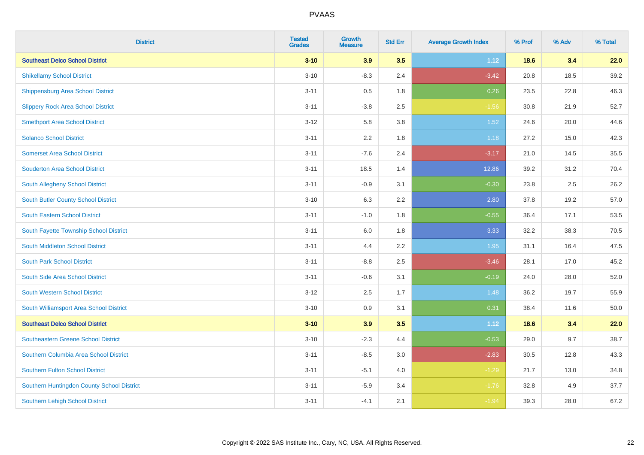| <b>District</b>                            | <b>Tested</b><br><b>Grades</b> | <b>Growth</b><br><b>Measure</b> | <b>Std Err</b> | <b>Average Growth Index</b> | % Prof | % Adv | % Total |
|--------------------------------------------|--------------------------------|---------------------------------|----------------|-----------------------------|--------|-------|---------|
| <b>Southeast Delco School District</b>     | $3 - 10$                       | 3.9                             | 3.5            | 1.12                        | 18.6   | 3.4   | 22.0    |
| <b>Shikellamy School District</b>          | $3 - 10$                       | $-8.3$                          | 2.4            | $-3.42$                     | 20.8   | 18.5  | 39.2    |
| Shippensburg Area School District          | $3 - 11$                       | $0.5\,$                         | 1.8            | 0.26                        | 23.5   | 22.8  | 46.3    |
| <b>Slippery Rock Area School District</b>  | $3 - 11$                       | $-3.8$                          | 2.5            | $-1.56$                     | 30.8   | 21.9  | 52.7    |
| <b>Smethport Area School District</b>      | $3 - 12$                       | 5.8                             | 3.8            | 1.52                        | 24.6   | 20.0  | 44.6    |
| <b>Solanco School District</b>             | $3 - 11$                       | 2.2                             | 1.8            | 1.18                        | 27.2   | 15.0  | 42.3    |
| <b>Somerset Area School District</b>       | $3 - 11$                       | $-7.6$                          | 2.4            | $-3.17$                     | 21.0   | 14.5  | 35.5    |
| <b>Souderton Area School District</b>      | $3 - 11$                       | 18.5                            | 1.4            | 12.86                       | 39.2   | 31.2  | 70.4    |
| South Allegheny School District            | $3 - 11$                       | $-0.9$                          | 3.1            | $-0.30$                     | 23.8   | 2.5   | 26.2    |
| <b>South Butler County School District</b> | $3 - 10$                       | 6.3                             | 2.2            | 2.80                        | 37.8   | 19.2  | 57.0    |
| <b>South Eastern School District</b>       | $3 - 11$                       | $-1.0$                          | 1.8            | $-0.55$                     | 36.4   | 17.1  | 53.5    |
| South Fayette Township School District     | $3 - 11$                       | 6.0                             | 1.8            | 3.33                        | 32.2   | 38.3  | 70.5    |
| South Middleton School District            | $3 - 11$                       | 4.4                             | 2.2            | 1.95                        | 31.1   | 16.4  | 47.5    |
| <b>South Park School District</b>          | $3 - 11$                       | $-8.8$                          | 2.5            | $-3.46$                     | 28.1   | 17.0  | 45.2    |
| South Side Area School District            | $3 - 11$                       | $-0.6$                          | 3.1            | $-0.19$                     | 24.0   | 28.0  | 52.0    |
| <b>South Western School District</b>       | $3 - 12$                       | 2.5                             | 1.7            | 1.48                        | 36.2   | 19.7  | 55.9    |
| South Williamsport Area School District    | $3 - 10$                       | 0.9                             | 3.1            | 0.31                        | 38.4   | 11.6  | 50.0    |
| <b>Southeast Delco School District</b>     | $3 - 10$                       | 3.9                             | 3.5            | 1.12                        | 18.6   | 3.4   | 22.0    |
| <b>Southeastern Greene School District</b> | $3 - 10$                       | $-2.3$                          | 4.4            | $-0.53$                     | 29.0   | 9.7   | 38.7    |
| Southern Columbia Area School District     | $3 - 11$                       | $-8.5$                          | 3.0            | $-2.83$                     | 30.5   | 12.8  | 43.3    |
| Southern Fulton School District            | $3 - 11$                       | $-5.1$                          | 4.0            | $-1.29$                     | 21.7   | 13.0  | 34.8    |
| Southern Huntingdon County School District | $3 - 11$                       | $-5.9$                          | 3.4            | $-1.76$                     | 32.8   | 4.9   | 37.7    |
| Southern Lehigh School District            | $3 - 11$                       | $-4.1$                          | 2.1            | $-1.94$                     | 39.3   | 28.0  | 67.2    |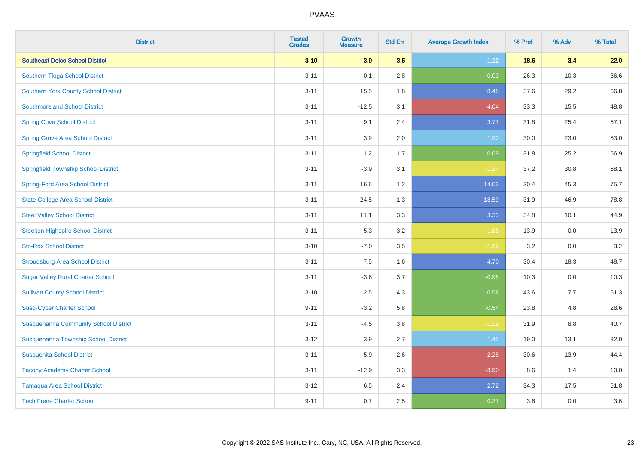| <b>District</b>                              | <b>Tested</b><br><b>Grades</b> | <b>Growth</b><br><b>Measure</b> | <b>Std Err</b> | <b>Average Growth Index</b> | % Prof | % Adv   | % Total |
|----------------------------------------------|--------------------------------|---------------------------------|----------------|-----------------------------|--------|---------|---------|
| <b>Southeast Delco School District</b>       | $3 - 10$                       | 3.9                             | 3.5            | 1.12                        | 18.6   | 3.4     | 22.0    |
| Southern Tioga School District               | $3 - 11$                       | $-0.1$                          | 2.8            | $-0.03$                     | 26.3   | 10.3    | 36.6    |
| <b>Southern York County School District</b>  | $3 - 11$                       | 15.5                            | 1.8            | 8.48                        | 37.6   | 29.2    | 66.8    |
| <b>Southmoreland School District</b>         | $3 - 11$                       | $-12.5$                         | 3.1            | $-4.04$                     | 33.3   | 15.5    | 48.8    |
| <b>Spring Cove School District</b>           | $3 - 11$                       | 9.1                             | 2.4            | 3.77                        | 31.8   | 25.4    | 57.1    |
| <b>Spring Grove Area School District</b>     | $3 - 11$                       | 3.9                             | 2.0            | 1.90                        | 30.0   | 23.0    | 53.0    |
| <b>Springfield School District</b>           | $3 - 11$                       | 1.2                             | 1.7            | 0.69                        | 31.8   | 25.2    | 56.9    |
| <b>Springfield Township School District</b>  | $3 - 11$                       | $-3.9$                          | 3.1            | $-1.27$                     | 37.2   | 30.8    | 68.1    |
| <b>Spring-Ford Area School District</b>      | $3 - 11$                       | 16.6                            | 1.2            | 14.02                       | 30.4   | 45.3    | 75.7    |
| <b>State College Area School District</b>    | $3 - 11$                       | 24.5                            | 1.3            | 18.59                       | 31.9   | 46.9    | 78.8    |
| <b>Steel Valley School District</b>          | $3 - 11$                       | 11.1                            | 3.3            | 3.33                        | 34.8   | 10.1    | 44.9    |
| <b>Steelton-Highspire School District</b>    | $3 - 11$                       | $-5.3$                          | 3.2            | $-1.65$                     | 13.9   | 0.0     | 13.9    |
| <b>Sto-Rox School District</b>               | $3 - 10$                       | $-7.0$                          | 3.5            | $-1.99$                     | 3.2    | $0.0\,$ | 3.2     |
| <b>Stroudsburg Area School District</b>      | $3 - 11$                       | 7.5                             | 1.6            | 4.70                        | 30.4   | 18.3    | 48.7    |
| <b>Sugar Valley Rural Charter School</b>     | $3 - 11$                       | $-3.6$                          | 3.7            | $-0.98$                     | 10.3   | 0.0     | 10.3    |
| <b>Sullivan County School District</b>       | $3 - 10$                       | 2.5                             | 4.3            | 0.58                        | 43.6   | 7.7     | 51.3    |
| <b>Susq-Cyber Charter School</b>             | $9 - 11$                       | $-3.2$                          | 5.8            | $-0.54$                     | 23.8   | 4.8     | 28.6    |
| <b>Susquehanna Community School District</b> | $3 - 11$                       | $-4.5$                          | 3.8            | $-1.19$                     | 31.9   | 8.8     | 40.7    |
| Susquehanna Township School District         | $3 - 12$                       | 3.9                             | 2.7            | 1.45                        | 19.0   | 13.1    | 32.0    |
| <b>Susquenita School District</b>            | $3 - 11$                       | $-5.9$                          | 2.6            | $-2.28$                     | 30.6   | 13.9    | 44.4    |
| <b>Tacony Academy Charter School</b>         | $3 - 11$                       | $-12.9$                         | 3.3            | $-3.90$                     | 8.6    | 1.4     | 10.0    |
| <b>Tamaqua Area School District</b>          | $3 - 12$                       | 6.5                             | 2.4            | 2.72                        | 34.3   | 17.5    | 51.8    |
| <b>Tech Freire Charter School</b>            | $9 - 11$                       | 0.7                             | 2.5            | 0.27                        | 3.6    | 0.0     | 3.6     |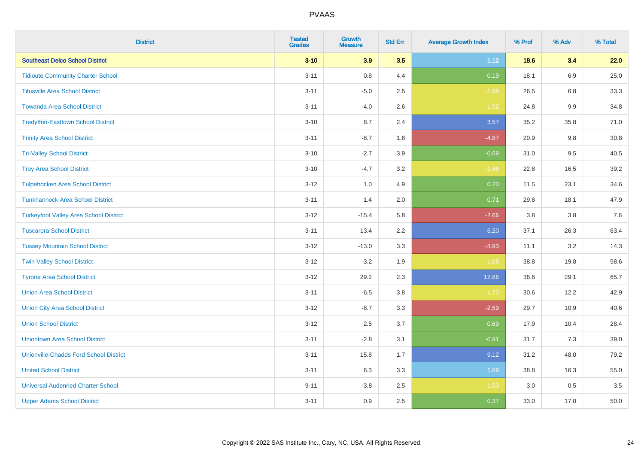| <b>District</b>                               | <b>Tested</b><br><b>Grades</b> | <b>Growth</b><br><b>Measure</b> | <b>Std Err</b> | <b>Average Growth Index</b> | % Prof | % Adv   | % Total |
|-----------------------------------------------|--------------------------------|---------------------------------|----------------|-----------------------------|--------|---------|---------|
| <b>Southeast Delco School District</b>        | $3 - 10$                       | 3.9                             | 3.5            | 1.12                        | 18.6   | 3.4     | 22.0    |
| <b>Tidioute Community Charter School</b>      | $3 - 11$                       | $0.8\,$                         | 4.4            | 0.19                        | 18.1   | 6.9     | 25.0    |
| <b>Titusville Area School District</b>        | $3 - 11$                       | $-5.0$                          | 2.5            | $-1.98$                     | 26.5   | 6.8     | 33.3    |
| <b>Towanda Area School District</b>           | $3 - 11$                       | $-4.0$                          | 2.6            | $-1.52$                     | 24.8   | $9.9\,$ | 34.8    |
| <b>Tredyffrin-Easttown School District</b>    | $3 - 10$                       | 8.7                             | 2.4            | 3.57                        | 35.2   | 35.8    | 71.0    |
| <b>Trinity Area School District</b>           | $3 - 11$                       | $-8.7$                          | 1.8            | $-4.87$                     | 20.9   | 9.8     | 30.8    |
| <b>Tri-Valley School District</b>             | $3 - 10$                       | $-2.7$                          | 3.9            | $-0.69$                     | 31.0   | 9.5     | 40.5    |
| <b>Troy Area School District</b>              | $3 - 10$                       | $-4.7$                          | 3.2            | $-1.46$                     | 22.8   | 16.5    | 39.2    |
| <b>Tulpehocken Area School District</b>       | $3-12$                         | 1.0                             | 4.9            | 0.20                        | 11.5   | 23.1    | 34.6    |
| <b>Tunkhannock Area School District</b>       | $3 - 11$                       | 1.4                             | 2.0            | 0.71                        | 29.8   | 18.1    | 47.9    |
| <b>Turkeyfoot Valley Area School District</b> | $3 - 12$                       | $-15.4$                         | 5.8            | $-2.66$                     | 3.8    | 3.8     | $7.6$   |
| <b>Tuscarora School District</b>              | $3 - 11$                       | 13.4                            | 2.2            | 6.20                        | 37.1   | 26.3    | 63.4    |
| <b>Tussey Mountain School District</b>        | $3-12$                         | $-13.0$                         | 3.3            | $-3.93$                     | 11.1   | 3.2     | 14.3    |
| <b>Twin Valley School District</b>            | $3 - 12$                       | $-3.2$                          | 1.9            | $-1.68$                     | 38.8   | 19.8    | 58.6    |
| <b>Tyrone Area School District</b>            | $3 - 12$                       | 29.2                            | 2.3            | 12.86                       | 36.6   | 29.1    | 65.7    |
| <b>Union Area School District</b>             | $3 - 11$                       | $-6.5$                          | 3.8            | $-1.70$                     | 30.6   | 12.2    | 42.9    |
| <b>Union City Area School District</b>        | $3-12$                         | $-8.7$                          | 3.3            | $-2.59$                     | 29.7   | 10.9    | 40.6    |
| <b>Union School District</b>                  | $3-12$                         | 2.5                             | 3.7            | 0.69                        | 17.9   | 10.4    | 28.4    |
| <b>Uniontown Area School District</b>         | $3 - 11$                       | $-2.8$                          | 3.1            | $-0.91$                     | 31.7   | 7.3     | 39.0    |
| <b>Unionville-Chadds Ford School District</b> | $3 - 11$                       | 15.8                            | 1.7            | 9.12                        | 31.2   | 48.0    | 79.2    |
| <b>United School District</b>                 | $3 - 11$                       | 6.3                             | 3.3            | 1.89                        | 38.8   | 16.3    | 55.0    |
| <b>Universal Audenried Charter School</b>     | $9 - 11$                       | $-3.8$                          | 2.5            | $-1.53$                     | 3.0    | 0.5     | 3.5     |
| <b>Upper Adams School District</b>            | $3 - 11$                       | 0.9                             | 2.5            | 0.37                        | 33.0   | 17.0    | 50.0    |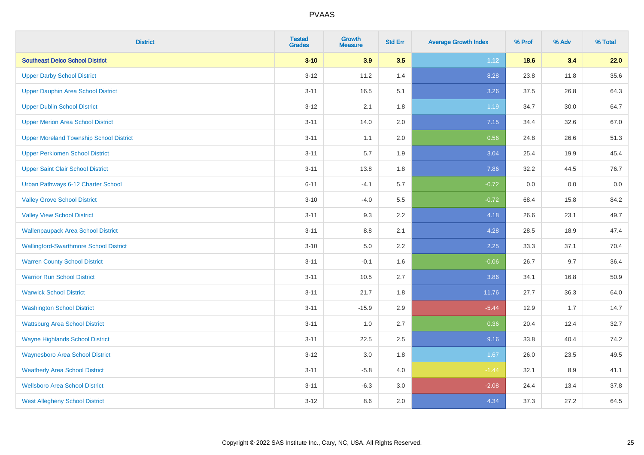| <b>District</b>                                | <b>Tested</b><br><b>Grades</b> | <b>Growth</b><br><b>Measure</b> | <b>Std Err</b> | <b>Average Growth Index</b> | % Prof | % Adv | % Total |
|------------------------------------------------|--------------------------------|---------------------------------|----------------|-----------------------------|--------|-------|---------|
| <b>Southeast Delco School District</b>         | $3 - 10$                       | 3.9                             | 3.5            | 1.12                        | 18.6   | 3.4   | 22.0    |
| <b>Upper Darby School District</b>             | $3 - 12$                       | 11.2                            | 1.4            | 8.28                        | 23.8   | 11.8  | 35.6    |
| <b>Upper Dauphin Area School District</b>      | $3 - 11$                       | 16.5                            | 5.1            | 3.26                        | 37.5   | 26.8  | 64.3    |
| <b>Upper Dublin School District</b>            | $3 - 12$                       | 2.1                             | 1.8            | 1.19                        | 34.7   | 30.0  | 64.7    |
| <b>Upper Merion Area School District</b>       | $3 - 11$                       | 14.0                            | 2.0            | 7.15                        | 34.4   | 32.6  | 67.0    |
| <b>Upper Moreland Township School District</b> | $3 - 11$                       | 1.1                             | 2.0            | 0.56                        | 24.8   | 26.6  | 51.3    |
| <b>Upper Perkiomen School District</b>         | $3 - 11$                       | 5.7                             | 1.9            | 3.04                        | 25.4   | 19.9  | 45.4    |
| <b>Upper Saint Clair School District</b>       | $3 - 11$                       | 13.8                            | 1.8            | 7.86                        | 32.2   | 44.5  | 76.7    |
| Urban Pathways 6-12 Charter School             | $6 - 11$                       | $-4.1$                          | 5.7            | $-0.72$                     | 0.0    | 0.0   | $0.0\,$ |
| <b>Valley Grove School District</b>            | $3 - 10$                       | $-4.0$                          | 5.5            | $-0.72$                     | 68.4   | 15.8  | 84.2    |
| <b>Valley View School District</b>             | $3 - 11$                       | 9.3                             | 2.2            | 4.18                        | 26.6   | 23.1  | 49.7    |
| <b>Wallenpaupack Area School District</b>      | $3 - 11$                       | 8.8                             | 2.1            | 4.28                        | 28.5   | 18.9  | 47.4    |
| <b>Wallingford-Swarthmore School District</b>  | $3 - 10$                       | $5.0\,$                         | 2.2            | 2.25                        | 33.3   | 37.1  | 70.4    |
| <b>Warren County School District</b>           | $3 - 11$                       | $-0.1$                          | 1.6            | $-0.06$                     | 26.7   | 9.7   | 36.4    |
| <b>Warrior Run School District</b>             | $3 - 11$                       | 10.5                            | 2.7            | 3.86                        | 34.1   | 16.8  | 50.9    |
| <b>Warwick School District</b>                 | $3 - 11$                       | 21.7                            | 1.8            | 11.76                       | 27.7   | 36.3  | 64.0    |
| <b>Washington School District</b>              | $3 - 11$                       | $-15.9$                         | 2.9            | $-5.44$                     | 12.9   | 1.7   | 14.7    |
| <b>Wattsburg Area School District</b>          | $3 - 11$                       | 1.0                             | 2.7            | 0.36                        | 20.4   | 12.4  | 32.7    |
| <b>Wayne Highlands School District</b>         | $3 - 11$                       | 22.5                            | 2.5            | 9.16                        | 33.8   | 40.4  | 74.2    |
| <b>Waynesboro Area School District</b>         | $3 - 12$                       | 3.0                             | 1.8            | 1.67                        | 26.0   | 23.5  | 49.5    |
| <b>Weatherly Area School District</b>          | $3 - 11$                       | $-5.8$                          | 4.0            | $-1.44$                     | 32.1   | 8.9   | 41.1    |
| <b>Wellsboro Area School District</b>          | $3 - 11$                       | $-6.3$                          | 3.0            | $-2.08$                     | 24.4   | 13.4  | 37.8    |
| <b>West Allegheny School District</b>          | $3 - 12$                       | 8.6                             | 2.0            | 4.34                        | 37.3   | 27.2  | 64.5    |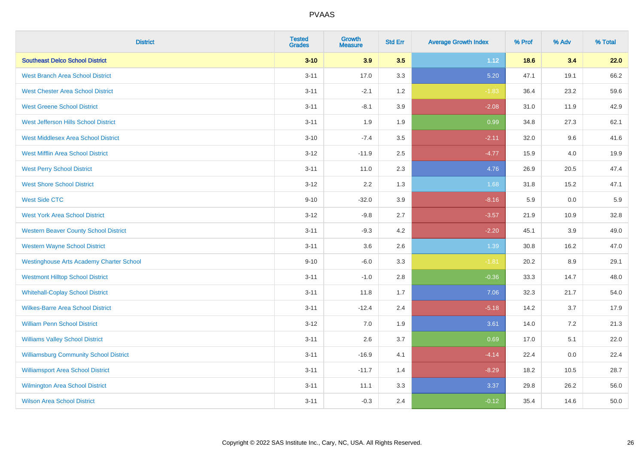| <b>District</b>                                 | <b>Tested</b><br><b>Grades</b> | <b>Growth</b><br><b>Measure</b> | <b>Std Err</b> | <b>Average Growth Index</b> | % Prof | % Adv | % Total |
|-------------------------------------------------|--------------------------------|---------------------------------|----------------|-----------------------------|--------|-------|---------|
| <b>Southeast Delco School District</b>          | $3 - 10$                       | 3.9                             | 3.5            | 1.12                        | 18.6   | 3.4   | 22.0    |
| <b>West Branch Area School District</b>         | $3 - 11$                       | 17.0                            | 3.3            | 5.20                        | 47.1   | 19.1  | 66.2    |
| <b>West Chester Area School District</b>        | $3 - 11$                       | $-2.1$                          | 1.2            | $-1.83$                     | 36.4   | 23.2  | 59.6    |
| <b>West Greene School District</b>              | $3 - 11$                       | $-8.1$                          | 3.9            | $-2.08$                     | 31.0   | 11.9  | 42.9    |
| West Jefferson Hills School District            | $3 - 11$                       | 1.9                             | 1.9            | 0.99                        | 34.8   | 27.3  | 62.1    |
| <b>West Middlesex Area School District</b>      | $3 - 10$                       | $-7.4$                          | 3.5            | $-2.11$                     | 32.0   | 9.6   | 41.6    |
| <b>West Mifflin Area School District</b>        | $3 - 12$                       | $-11.9$                         | 2.5            | $-4.77$                     | 15.9   | 4.0   | 19.9    |
| <b>West Perry School District</b>               | $3 - 11$                       | 11.0                            | 2.3            | 4.76                        | 26.9   | 20.5  | 47.4    |
| <b>West Shore School District</b>               | $3 - 12$                       | 2.2                             | 1.3            | 1.68                        | 31.8   | 15.2  | 47.1    |
| <b>West Side CTC</b>                            | $9 - 10$                       | $-32.0$                         | 3.9            | $-8.16$                     | 5.9    | 0.0   | 5.9     |
| <b>West York Area School District</b>           | $3 - 12$                       | $-9.8$                          | 2.7            | $-3.57$                     | 21.9   | 10.9  | 32.8    |
| <b>Western Beaver County School District</b>    | $3 - 11$                       | $-9.3$                          | 4.2            | $-2.20$                     | 45.1   | 3.9   | 49.0    |
| <b>Western Wayne School District</b>            | $3 - 11$                       | 3.6                             | 2.6            | 1.39                        | 30.8   | 16.2  | 47.0    |
| <b>Westinghouse Arts Academy Charter School</b> | $9 - 10$                       | $-6.0$                          | 3.3            | $-1.81$                     | 20.2   | 8.9   | 29.1    |
| <b>Westmont Hilltop School District</b>         | $3 - 11$                       | $-1.0$                          | 2.8            | $-0.36$                     | 33.3   | 14.7  | 48.0    |
| <b>Whitehall-Coplay School District</b>         | $3 - 11$                       | 11.8                            | 1.7            | 7.06                        | 32.3   | 21.7  | 54.0    |
| <b>Wilkes-Barre Area School District</b>        | $3 - 11$                       | $-12.4$                         | 2.4            | $-5.18$                     | 14.2   | 3.7   | 17.9    |
| <b>William Penn School District</b>             | $3 - 12$                       | 7.0                             | 1.9            | 3.61                        | 14.0   | 7.2   | 21.3    |
| <b>Williams Valley School District</b>          | $3 - 11$                       | 2.6                             | 3.7            | 0.69                        | 17.0   | 5.1   | 22.0    |
| <b>Williamsburg Community School District</b>   | $3 - 11$                       | $-16.9$                         | 4.1            | $-4.14$                     | 22.4   | 0.0   | 22.4    |
| <b>Williamsport Area School District</b>        | $3 - 11$                       | $-11.7$                         | 1.4            | $-8.29$                     | 18.2   | 10.5  | 28.7    |
| Wilmington Area School District                 | $3 - 11$                       | 11.1                            | 3.3            | 3.37                        | 29.8   | 26.2  | 56.0    |
| <b>Wilson Area School District</b>              | $3 - 11$                       | $-0.3$                          | 2.4            | $-0.12$                     | 35.4   | 14.6  | 50.0    |